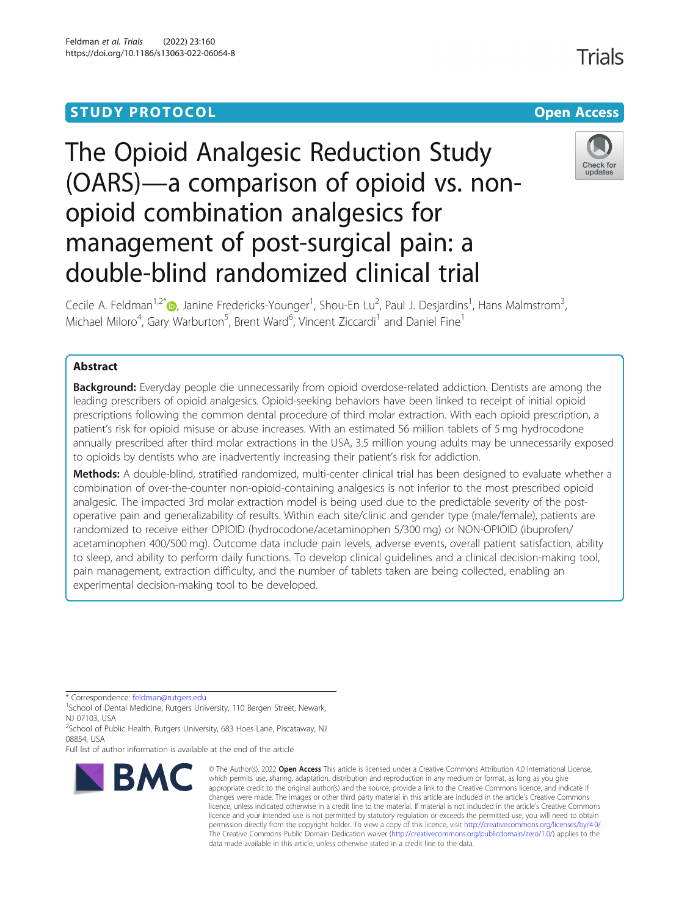# **STUDY PROTOCOL CONSUMING THE CONSUMING OPEN ACCESS**

# The Opioid Analgesic Reduction Study (OARS)—a comparison of opioid vs. nonopioid combination analgesics for management of post-surgical pain: a double-blind randomized clinical trial



Trials

Cecile A. Feldman<sup>1[,](http://orcid.org/0000-0001-8004-4473)2\*</sup>®, Janine Fredericks-Younger<sup>1</sup>, Shou-En Lu<sup>2</sup>, Paul J. Desjardins<sup>1</sup>, Hans Malmstrom<sup>3</sup> , Michael Miloro<sup>4</sup>, Gary Warburton<sup>5</sup>, Brent Ward<sup>6</sup>, Vincent Ziccardi<sup>1</sup> and Daniel Fine<sup>1</sup>

# Abstract

**Background:** Everyday people die unnecessarily from opioid overdose-related addiction. Dentists are among the leading prescribers of opioid analgesics. Opioid-seeking behaviors have been linked to receipt of initial opioid prescriptions following the common dental procedure of third molar extraction. With each opioid prescription, a patient's risk for opioid misuse or abuse increases. With an estimated 56 million tablets of 5 mg hydrocodone annually prescribed after third molar extractions in the USA, 3.5 million young adults may be unnecessarily exposed to opioids by dentists who are inadvertently increasing their patient's risk for addiction.

Methods: A double-blind, stratified randomized, multi-center clinical trial has been designed to evaluate whether a combination of over-the-counter non-opioid-containing analgesics is not inferior to the most prescribed opioid analgesic. The impacted 3rd molar extraction model is being used due to the predictable severity of the postoperative pain and generalizability of results. Within each site/clinic and gender type (male/female), patients are randomized to receive either OPIOID (hydrocodone/acetaminophen 5/300 mg) or NON-OPIOID (ibuprofen/ acetaminophen 400/500 mg). Outcome data include pain levels, adverse events, overall patient satisfaction, ability to sleep, and ability to perform daily functions. To develop clinical guidelines and a clinical decision-making tool, pain management, extraction difficulty, and the number of tablets taken are being collected, enabling an experimental decision-making tool to be developed.

\* Correspondence: [feldman@rutgers.edu](mailto:feldman@rutgers.edu) <sup>1</sup>

<sup>1</sup>School of Dental Medicine, Rutgers University, 110 Bergen Street, Newark, NJ 07103, USA

<sup>2</sup>School of Public Health, Rutgers University, 683 Hoes Lane, Piscataway, NJ 08854, USA

Full list of author information is available at the end of the article



<sup>©</sup> The Author(s), 2022 **Open Access** This article is licensed under a Creative Commons Attribution 4.0 International License, which permits use, sharing, adaptation, distribution and reproduction in any medium or format, as long as you give appropriate credit to the original author(s) and the source, provide a link to the Creative Commons licence, and indicate if changes were made. The images or other third party material in this article are included in the article's Creative Commons licence, unless indicated otherwise in a credit line to the material. If material is not included in the article's Creative Commons licence and your intended use is not permitted by statutory regulation or exceeds the permitted use, you will need to obtain permission directly from the copyright holder. To view a copy of this licence, visit [http://creativecommons.org/licenses/by/4.0/.](http://creativecommons.org/licenses/by/4.0/) The Creative Commons Public Domain Dedication waiver [\(http://creativecommons.org/publicdomain/zero/1.0/](http://creativecommons.org/publicdomain/zero/1.0/)) applies to the data made available in this article, unless otherwise stated in a credit line to the data.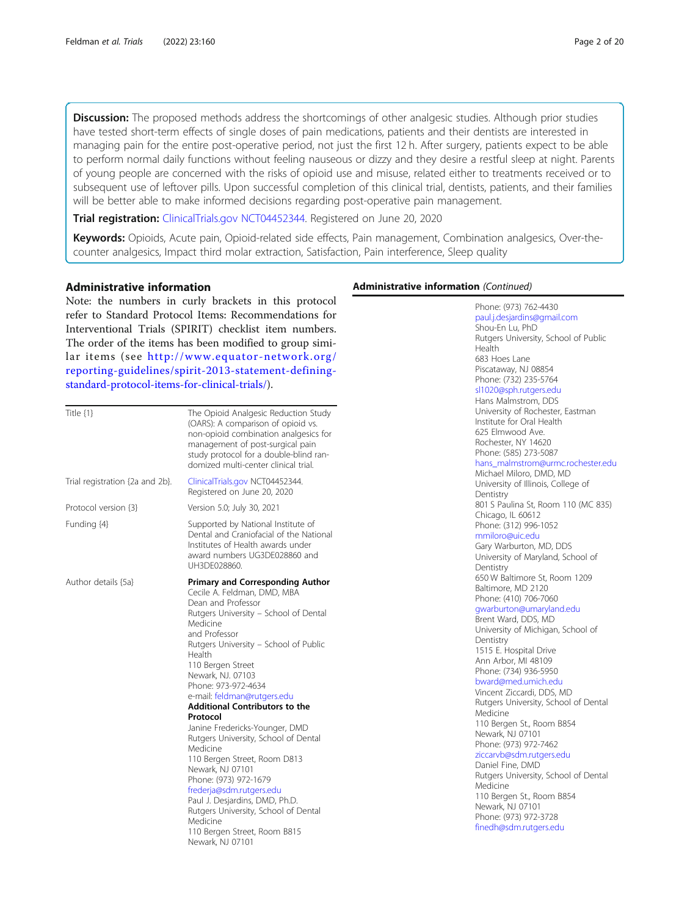**Discussion:** The proposed methods address the shortcomings of other analgesic studies. Although prior studies have tested short-term effects of single doses of pain medications, patients and their dentists are interested in managing pain for the entire post-operative period, not just the first 12 h. After surgery, patients expect to be able to perform normal daily functions without feeling nauseous or dizzy and they desire a restful sleep at night. Parents of young people are concerned with the risks of opioid use and misuse, related either to treatments received or to subsequent use of leftover pills. Upon successful completion of this clinical trial, dentists, patients, and their families will be better able to make informed decisions regarding post-operative pain management.

Trial registration: [ClinicalTrials.gov](http://clinicaltrials.gov) [NCT04452344](https://clinicaltrials.gov/ct2/show/NCT04452344). Registered on June 20, 2020

Keywords: Opioids, Acute pain, Opioid-related side effects, Pain management, Combination analgesics, Over-thecounter analgesics, Impact third molar extraction, Satisfaction, Pain interference, Sleep quality

#### Administrative information

Note: the numbers in curly brackets in this protocol refer to Standard Protocol Items: Recommendations for Interventional Trials (SPIRIT) checklist item numbers. The order of the items has been modified to group similar items (see [http://www.equator-network.org/](http://www.equator-network.org/reporting-guidelines/spirit-2013-statement-defining-standard-protocol-items-for-clinical-trials/) [reporting-guidelines/spirit-2013-statement-defining](http://www.equator-network.org/reporting-guidelines/spirit-2013-statement-defining-standard-protocol-items-for-clinical-trials/)[standard-protocol-items-for-clinical-trials/\)](http://www.equator-network.org/reporting-guidelines/spirit-2013-statement-defining-standard-protocol-items-for-clinical-trials/).

| Title $\{1\}$                   | The Opioid Analgesic Reduction Study<br>(OARS): A comparison of opioid vs.<br>non-opioid combination analgesics for<br>management of post-surgical pain<br>study protocol for a double-blind ran-<br>domized multi-center clinical trial.                                                                                                                                                                                                                                                                                                                                                                                                                                                                           |
|---------------------------------|---------------------------------------------------------------------------------------------------------------------------------------------------------------------------------------------------------------------------------------------------------------------------------------------------------------------------------------------------------------------------------------------------------------------------------------------------------------------------------------------------------------------------------------------------------------------------------------------------------------------------------------------------------------------------------------------------------------------|
| Trial registration {2a and 2b}. | ClinicalTrials.gov NCT04452344.<br>Registered on June 20, 2020                                                                                                                                                                                                                                                                                                                                                                                                                                                                                                                                                                                                                                                      |
| Protocol version {3}            | Version 5.0; July 30, 2021                                                                                                                                                                                                                                                                                                                                                                                                                                                                                                                                                                                                                                                                                          |
| Funding {4}                     | Supported by National Institute of<br>Dental and Craniofacial of the National<br>Institutes of Health awards under<br>award numbers UG3DE028860 and<br>UH3DF028860.                                                                                                                                                                                                                                                                                                                                                                                                                                                                                                                                                 |
| Author details {5a}             | <b>Primary and Corresponding Author</b><br>Cecile A. Feldman, DMD, MBA<br>Dean and Professor<br>Rutgers University - School of Dental<br>Medicine<br>and Professor<br>Rutgers University - School of Public<br>Health<br>110 Bergen Street<br>Newark, NJ. 07103<br>Phone: 973-972-4634<br>e-mail: feldman@rutgers.edu<br><b>Additional Contributors to the</b><br>Protocol<br>Janine Fredericks-Younger, DMD<br>Rutgers University, School of Dental<br>Medicine<br>110 Bergen Street, Room D813<br>Newark, NJ 07101<br>Phone: (973) 972-1679<br>frederja@sdm.rutgers.edu<br>Paul J. Desjardins, DMD, Ph.D.<br>Rutgers University, School of Dental<br>Medicine<br>110 Bergen Street, Room B815<br>Newark, NJ 07101 |

# Administrative information (Continued)

Phone: (973) 762-4430 [paul.j.desjardins@gmail.com](mailto:paul.j.desjardins@gmail.com) Shou-En Lu, PhD Rutgers University, School of Public Health 683 Hoes Lane Piscataway, NJ 08854 Phone: (732) 235-5764 [sl1020@sph.rutgers.edu](mailto:sl1020@sph.rutgers.edu) Hans Malmstrom, DDS University of Rochester, Eastman Institute for Oral Health 625 Elmwood Ave. Rochester, NY 14620 Phone: (585) 273-5087 [hans\\_malmstrom@urmc.rochester.edu](mailto:hans_malmstrom@urmc.rochester.edu) Michael Miloro, DMD, MD University of Illinois, College of **Dentistry** 801 S Paulina St, Room 110 (MC 835) Chicago, IL 60612 Phone: (312) 996-1052 [mmiloro@uic.edu](mailto:mmiloro@uic.edu) Gary Warburton, MD, DDS University of Maryland, School of **Dentistry** 650 W Baltimore St, Room 1209 Baltimore, MD 2120 Phone: (410) 706-7060 [gwarburton@umaryland.edu](mailto:gwarburton@umaryland.edu) Brent Ward, DDS, MD University of Michigan, School of Dentistry 1515 E. Hospital Drive Ann Arbor, MI 48109 Phone: (734) 936-5950 [bward@med.umich.edu](mailto:bward@med.umich.edu) Vincent Ziccardi, DDS, MD Rutgers University, School of Dental Medicine 110 Bergen St., Room B854 Newark, NJ 07101 Phone: (973) 972-7462 [ziccarvb@sdm.rutgers.edu](mailto:ziccarvb@sdm.rutgers.edu) Daniel Fine, DMD Rutgers University, School of Dental Medicine 110 Bergen St., Room B854 Newark, NJ 07101 Phone: (973) 972-3728 [finedh@sdm.rutgers.edu](mailto:finedh@sdm.rutgers.edu)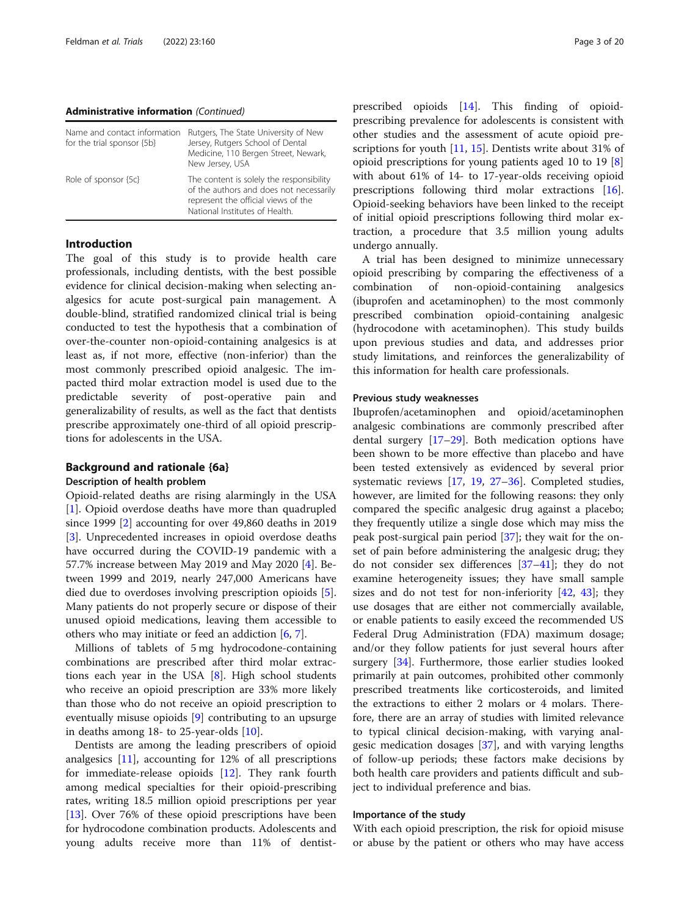#### Administrative information (Continued)

| Name and contact information<br>for the trial sponsor {5b} | Rutgers, The State University of New<br>Jersey, Rutgers School of Dental<br>Medicine, 110 Bergen Street, Newark,<br>New Jersey, USA                          |
|------------------------------------------------------------|--------------------------------------------------------------------------------------------------------------------------------------------------------------|
| Role of sponsor {5c}                                       | The content is solely the responsibility<br>of the authors and does not necessarily<br>represent the official views of the<br>National Institutes of Health. |

#### Introduction

The goal of this study is to provide health care professionals, including dentists, with the best possible evidence for clinical decision-making when selecting analgesics for acute post-surgical pain management. A double-blind, stratified randomized clinical trial is being conducted to test the hypothesis that a combination of over-the-counter non-opioid-containing analgesics is at least as, if not more, effective (non-inferior) than the most commonly prescribed opioid analgesic. The impacted third molar extraction model is used due to the predictable severity of post-operative pain and generalizability of results, as well as the fact that dentists prescribe approximately one-third of all opioid prescriptions for adolescents in the USA.

# Background and rationale {6a}

#### Description of health problem

Opioid-related deaths are rising alarmingly in the USA [[1\]](#page-16-0). Opioid overdose deaths have more than quadrupled since 1999 [\[2](#page-16-0)] accounting for over 49,860 deaths in 2019 [[3\]](#page-17-0). Unprecedented increases in opioid overdose deaths have occurred during the COVID-19 pandemic with a 57.7% increase between May 2019 and May 2020 [[4\]](#page-17-0). Between 1999 and 2019, nearly 247,000 Americans have died due to overdoses involving prescription opioids [\[5](#page-17-0)]. Many patients do not properly secure or dispose of their unused opioid medications, leaving them accessible to others who may initiate or feed an addiction [[6,](#page-17-0) [7\]](#page-17-0).

Millions of tablets of 5 mg hydrocodone-containing combinations are prescribed after third molar extractions each year in the USA [[8\]](#page-17-0). High school students who receive an opioid prescription are 33% more likely than those who do not receive an opioid prescription to eventually misuse opioids [\[9](#page-17-0)] contributing to an upsurge in deaths among 18- to 25-year-olds [[10\]](#page-17-0).

Dentists are among the leading prescribers of opioid analgesics [[11\]](#page-17-0), accounting for 12% of all prescriptions for immediate-release opioids [\[12\]](#page-17-0). They rank fourth among medical specialties for their opioid-prescribing rates, writing 18.5 million opioid prescriptions per year [[13\]](#page-17-0). Over 76% of these opioid prescriptions have been for hydrocodone combination products. Adolescents and young adults receive more than 11% of dentist-

prescribed opioids [[14](#page-17-0)]. This finding of opioidprescribing prevalence for adolescents is consistent with other studies and the assessment of acute opioid pre-scriptions for youth [[11](#page-17-0), [15](#page-17-0)]. Dentists write about 31% of opioid prescriptions for young patients aged 10 to 19 [\[8](#page-17-0)] with about 61% of 14- to 17-year-olds receiving opioid prescriptions following third molar extractions [\[16](#page-17-0)]. Opioid-seeking behaviors have been linked to the receipt of initial opioid prescriptions following third molar extraction, a procedure that 3.5 million young adults undergo annually.

A trial has been designed to minimize unnecessary opioid prescribing by comparing the effectiveness of a combination of non-opioid-containing analgesics (ibuprofen and acetaminophen) to the most commonly prescribed combination opioid-containing analgesic (hydrocodone with acetaminophen). This study builds upon previous studies and data, and addresses prior study limitations, and reinforces the generalizability of this information for health care professionals.

#### Previous study weaknesses

Ibuprofen/acetaminophen and opioid/acetaminophen analgesic combinations are commonly prescribed after dental surgery [\[17](#page-17-0)–[29\]](#page-17-0). Both medication options have been shown to be more effective than placebo and have been tested extensively as evidenced by several prior systematic reviews [[17,](#page-17-0) [19](#page-17-0), [27](#page-17-0)–[36\]](#page-18-0). Completed studies, however, are limited for the following reasons: they only compared the specific analgesic drug against a placebo; they frequently utilize a single dose which may miss the peak post-surgical pain period [\[37\]](#page-18-0); they wait for the onset of pain before administering the analgesic drug; they do not consider sex differences [\[37](#page-18-0)–[41\]](#page-18-0); they do not examine heterogeneity issues; they have small sample sizes and do not test for non-inferiority [[42,](#page-18-0) [43](#page-18-0)]; they use dosages that are either not commercially available, or enable patients to easily exceed the recommended US Federal Drug Administration (FDA) maximum dosage; and/or they follow patients for just several hours after surgery [[34](#page-17-0)]. Furthermore, those earlier studies looked primarily at pain outcomes, prohibited other commonly prescribed treatments like corticosteroids, and limited the extractions to either 2 molars or 4 molars. Therefore, there are an array of studies with limited relevance to typical clinical decision-making, with varying analgesic medication dosages [\[37\]](#page-18-0), and with varying lengths of follow-up periods; these factors make decisions by both health care providers and patients difficult and subject to individual preference and bias.

# Importance of the study

With each opioid prescription, the risk for opioid misuse or abuse by the patient or others who may have access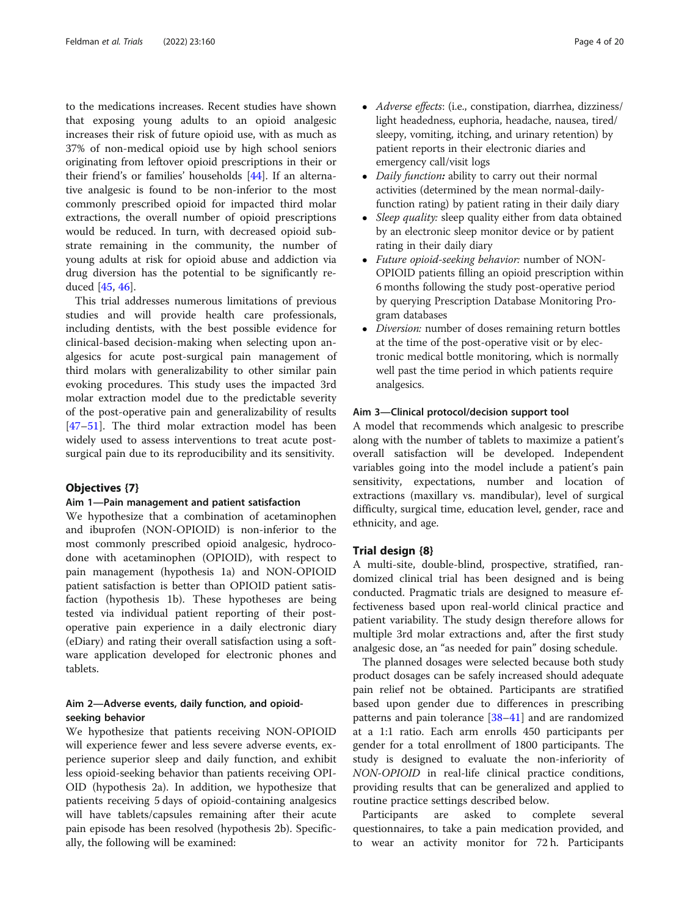to the medications increases. Recent studies have shown that exposing young adults to an opioid analgesic increases their risk of future opioid use, with as much as 37% of non-medical opioid use by high school seniors originating from leftover opioid prescriptions in their or their friend's or families' households [\[44](#page-18-0)]. If an alternative analgesic is found to be non-inferior to the most commonly prescribed opioid for impacted third molar extractions, the overall number of opioid prescriptions would be reduced. In turn, with decreased opioid substrate remaining in the community, the number of young adults at risk for opioid abuse and addiction via drug diversion has the potential to be significantly reduced [\[45](#page-18-0), [46](#page-18-0)].

This trial addresses numerous limitations of previous studies and will provide health care professionals, including dentists, with the best possible evidence for clinical-based decision-making when selecting upon analgesics for acute post-surgical pain management of third molars with generalizability to other similar pain evoking procedures. This study uses the impacted 3rd molar extraction model due to the predictable severity of the post-operative pain and generalizability of results [[47](#page-18-0)–[51](#page-18-0)]. The third molar extraction model has been widely used to assess interventions to treat acute postsurgical pain due to its reproducibility and its sensitivity.

#### Objectives {7}

#### Aim 1—Pain management and patient satisfaction

We hypothesize that a combination of acetaminophen and ibuprofen (NON-OPIOID) is non-inferior to the most commonly prescribed opioid analgesic, hydrocodone with acetaminophen (OPIOID), with respect to pain management (hypothesis 1a) and NON-OPIOID patient satisfaction is better than OPIOID patient satisfaction (hypothesis 1b). These hypotheses are being tested via individual patient reporting of their postoperative pain experience in a daily electronic diary (eDiary) and rating their overall satisfaction using a software application developed for electronic phones and tablets.

# Aim 2—Adverse events, daily function, and opioidseeking behavior

We hypothesize that patients receiving NON-OPIOID will experience fewer and less severe adverse events, experience superior sleep and daily function, and exhibit less opioid-seeking behavior than patients receiving OPI-OID (hypothesis 2a). In addition, we hypothesize that patients receiving 5 days of opioid-containing analgesics will have tablets/capsules remaining after their acute pain episode has been resolved (hypothesis 2b). Specifically, the following will be examined:

- Adverse effects: (i.e., constipation, diarrhea, dizziness/ light headedness, euphoria, headache, nausea, tired/ sleepy, vomiting, itching, and urinary retention) by patient reports in their electronic diaries and emergency call/visit logs
- Daily function: ability to carry out their normal activities (determined by the mean normal-dailyfunction rating) by patient rating in their daily diary
- Sleep quality: sleep quality either from data obtained by an electronic sleep monitor device or by patient rating in their daily diary
- Future opioid-seeking behavior: number of NON-OPIOID patients filling an opioid prescription within 6 months following the study post-operative period by querying Prescription Database Monitoring Program databases
- *Diversion:* number of doses remaining return bottles at the time of the post-operative visit or by electronic medical bottle monitoring, which is normally well past the time period in which patients require analgesics.

#### Aim 3—Clinical protocol/decision support tool

A model that recommends which analgesic to prescribe along with the number of tablets to maximize a patient's overall satisfaction will be developed. Independent variables going into the model include a patient's pain sensitivity, expectations, number and location of extractions (maxillary vs. mandibular), level of surgical difficulty, surgical time, education level, gender, race and ethnicity, and age.

#### Trial design {8}

A multi-site, double-blind, prospective, stratified, randomized clinical trial has been designed and is being conducted. Pragmatic trials are designed to measure effectiveness based upon real-world clinical practice and patient variability. The study design therefore allows for multiple 3rd molar extractions and, after the first study analgesic dose, an "as needed for pain" dosing schedule.

The planned dosages were selected because both study product dosages can be safely increased should adequate pain relief not be obtained. Participants are stratified based upon gender due to differences in prescribing patterns and pain tolerance [\[38](#page-18-0)–[41\]](#page-18-0) and are randomized at a 1:1 ratio. Each arm enrolls 450 participants per gender for a total enrollment of 1800 participants. The study is designed to evaluate the non-inferiority of NON-OPIOID in real-life clinical practice conditions, providing results that can be generalized and applied to routine practice settings described below.

Participants are asked to complete several questionnaires, to take a pain medication provided, and to wear an activity monitor for 72 h. Participants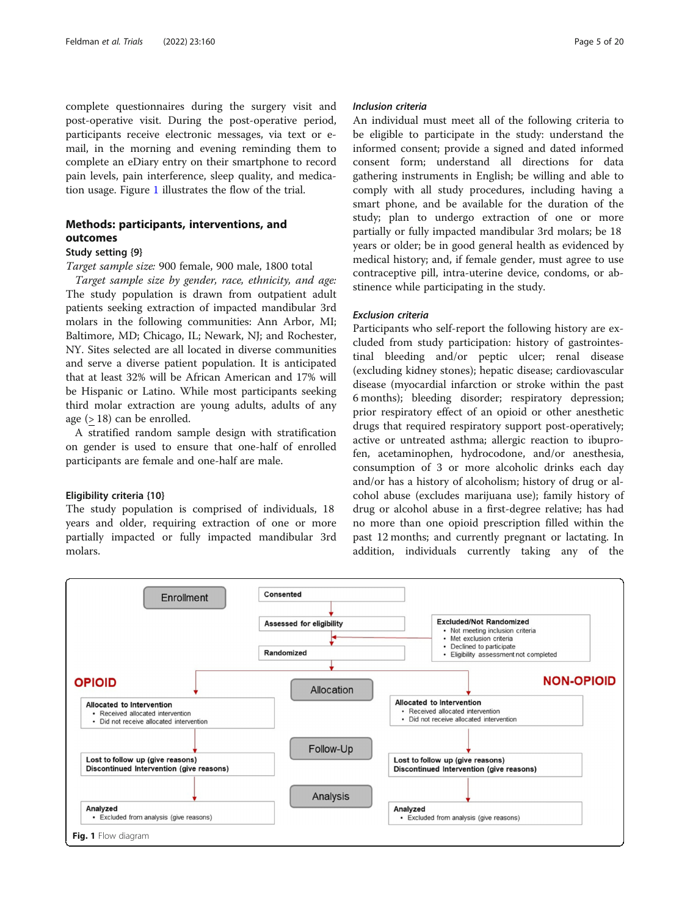complete questionnaires during the surgery visit and post-operative visit. During the post-operative period, participants receive electronic messages, via text or email, in the morning and evening reminding them to complete an eDiary entry on their smartphone to record pain levels, pain interference, sleep quality, and medication usage. Figure 1 illustrates the flow of the trial.

# Methods: participants, interventions, and outcomes

# Study setting {9}

Target sample size: 900 female, 900 male, 1800 total

Target sample size by gender, race, ethnicity, and age: The study population is drawn from outpatient adult patients seeking extraction of impacted mandibular 3rd molars in the following communities: Ann Arbor, MI; Baltimore, MD; Chicago, IL; Newark, NJ; and Rochester, NY. Sites selected are all located in diverse communities and serve a diverse patient population. It is anticipated that at least 32% will be African American and 17% will be Hispanic or Latino. While most participants seeking third molar extraction are young adults, adults of any age (> 18) can be enrolled.

A stratified random sample design with stratification on gender is used to ensure that one-half of enrolled participants are female and one-half are male.

#### Eligibility criteria {10}

The study population is comprised of individuals, 18 years and older, requiring extraction of one or more partially impacted or fully impacted mandibular 3rd molars.

## Inclusion criteria

An individual must meet all of the following criteria to be eligible to participate in the study: understand the informed consent; provide a signed and dated informed consent form; understand all directions for data gathering instruments in English; be willing and able to comply with all study procedures, including having a smart phone, and be available for the duration of the study; plan to undergo extraction of one or more partially or fully impacted mandibular 3rd molars; be 18 years or older; be in good general health as evidenced by medical history; and, if female gender, must agree to use contraceptive pill, intra-uterine device, condoms, or abstinence while participating in the study.

# Exclusion criteria

Participants who self-report the following history are excluded from study participation: history of gastrointestinal bleeding and/or peptic ulcer; renal disease (excluding kidney stones); hepatic disease; cardiovascular disease (myocardial infarction or stroke within the past 6 months); bleeding disorder; respiratory depression; prior respiratory effect of an opioid or other anesthetic drugs that required respiratory support post-operatively; active or untreated asthma; allergic reaction to ibuprofen, acetaminophen, hydrocodone, and/or anesthesia, consumption of 3 or more alcoholic drinks each day and/or has a history of alcoholism; history of drug or alcohol abuse (excludes marijuana use); family history of drug or alcohol abuse in a first-degree relative; has had no more than one opioid prescription filled within the past 12 months; and currently pregnant or lactating. In addition, individuals currently taking any of the

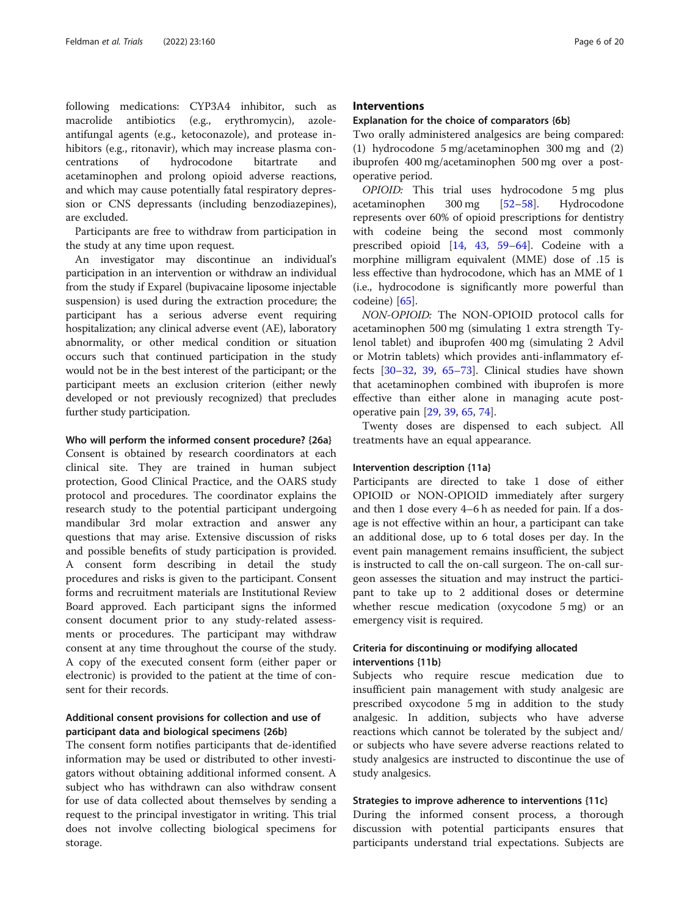following medications: CYP3A4 inhibitor, such as macrolide antibiotics (e.g., erythromycin), azoleantifungal agents (e.g., ketoconazole), and protease inhibitors (e.g., ritonavir), which may increase plasma concentrations of hydrocodone bitartrate and acetaminophen and prolong opioid adverse reactions, and which may cause potentially fatal respiratory depression or CNS depressants (including benzodiazepines), are excluded.

Participants are free to withdraw from participation in the study at any time upon request.

An investigator may discontinue an individual's participation in an intervention or withdraw an individual from the study if Exparel (bupivacaine liposome injectable suspension) is used during the extraction procedure; the participant has a serious adverse event requiring hospitalization; any clinical adverse event (AE), laboratory abnormality, or other medical condition or situation occurs such that continued participation in the study would not be in the best interest of the participant; or the participant meets an exclusion criterion (either newly developed or not previously recognized) that precludes further study participation.

#### Who will perform the informed consent procedure? {26a}

Consent is obtained by research coordinators at each clinical site. They are trained in human subject protection, Good Clinical Practice, and the OARS study protocol and procedures. The coordinator explains the research study to the potential participant undergoing mandibular 3rd molar extraction and answer any questions that may arise. Extensive discussion of risks and possible benefits of study participation is provided. A consent form describing in detail the study procedures and risks is given to the participant. Consent forms and recruitment materials are Institutional Review Board approved. Each participant signs the informed consent document prior to any study-related assessments or procedures. The participant may withdraw consent at any time throughout the course of the study. A copy of the executed consent form (either paper or electronic) is provided to the patient at the time of consent for their records.

# Additional consent provisions for collection and use of participant data and biological specimens {26b}

The consent form notifies participants that de-identified information may be used or distributed to other investigators without obtaining additional informed consent. A subject who has withdrawn can also withdraw consent for use of data collected about themselves by sending a request to the principal investigator in writing. This trial does not involve collecting biological specimens for storage.

# **Interventions**

#### Explanation for the choice of comparators {6b}

Two orally administered analgesics are being compared: (1) hydrocodone 5 mg/acetaminophen 300 mg and (2) ibuprofen 400 mg/acetaminophen 500 mg over a postoperative period.

OPIOID: This trial uses hydrocodone 5 mg plus acetaminophen 300 mg [[52](#page-18-0)–[58](#page-18-0)]. Hydrocodone represents over 60% of opioid prescriptions for dentistry with codeine being the second most commonly prescribed opioid [[14,](#page-17-0) [43](#page-18-0), [59](#page-18-0)–[64](#page-18-0)]. Codeine with a morphine milligram equivalent (MME) dose of .15 is less effective than hydrocodone, which has an MME of 1 (i.e., hydrocodone is significantly more powerful than codeine) [\[65](#page-18-0)].

NON-OPIOID: The NON-OPIOID protocol calls for acetaminophen 500 mg (simulating 1 extra strength Tylenol tablet) and ibuprofen 400 mg (simulating 2 Advil or Motrin tablets) which provides anti-inflammatory effects [[30](#page-17-0)–[32](#page-17-0), [39,](#page-18-0) [65](#page-18-0)–[73\]](#page-19-0). Clinical studies have shown that acetaminophen combined with ibuprofen is more effective than either alone in managing acute postoperative pain [[29,](#page-17-0) [39,](#page-18-0) [65](#page-18-0), [74](#page-19-0)].

Twenty doses are dispensed to each subject. All treatments have an equal appearance.

## Intervention description {11a}

Participants are directed to take 1 dose of either OPIOID or NON-OPIOID immediately after surgery and then 1 dose every 4–6 h as needed for pain. If a dosage is not effective within an hour, a participant can take an additional dose, up to 6 total doses per day. In the event pain management remains insufficient, the subject is instructed to call the on-call surgeon. The on-call surgeon assesses the situation and may instruct the participant to take up to 2 additional doses or determine whether rescue medication (oxycodone 5 mg) or an emergency visit is required.

# Criteria for discontinuing or modifying allocated interventions {11b}

Subjects who require rescue medication due to insufficient pain management with study analgesic are prescribed oxycodone 5 mg in addition to the study analgesic. In addition, subjects who have adverse reactions which cannot be tolerated by the subject and/ or subjects who have severe adverse reactions related to study analgesics are instructed to discontinue the use of study analgesics.

#### Strategies to improve adherence to interventions {11c}

During the informed consent process, a thorough discussion with potential participants ensures that participants understand trial expectations. Subjects are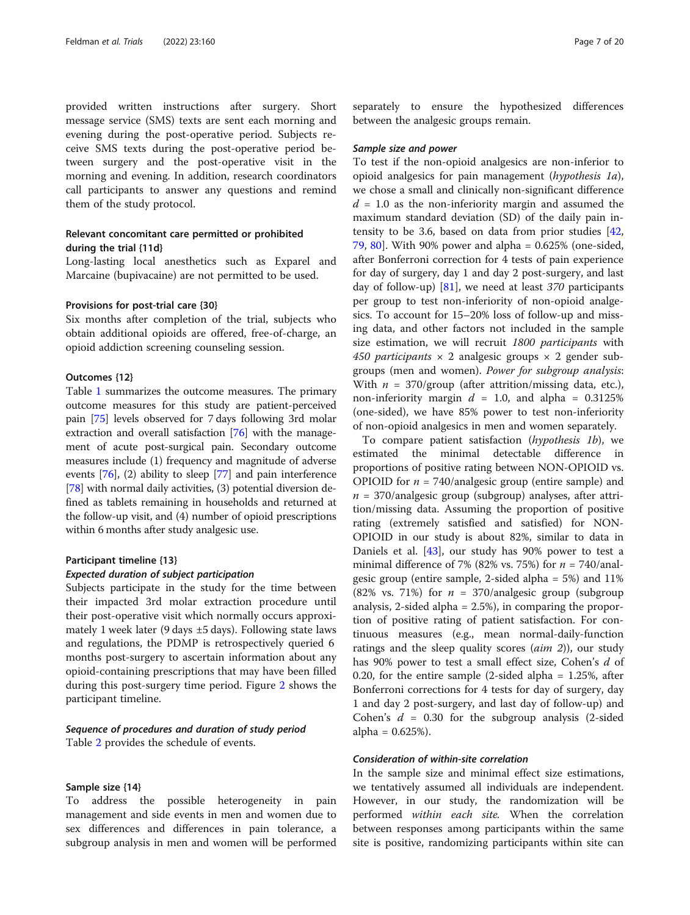provided written instructions after surgery. Short message service (SMS) texts are sent each morning and evening during the post-operative period. Subjects receive SMS texts during the post-operative period between surgery and the post-operative visit in the morning and evening. In addition, research coordinators call participants to answer any questions and remind them of the study protocol.

# Relevant concomitant care permitted or prohibited during the trial {11d}

Long-lasting local anesthetics such as Exparel and Marcaine (bupivacaine) are not permitted to be used.

#### Provisions for post-trial care {30}

Six months after completion of the trial, subjects who obtain additional opioids are offered, free-of-charge, an opioid addiction screening counseling session.

# Outcomes {12}

Table [1](#page-7-0) summarizes the outcome measures. The primary outcome measures for this study are patient-perceived pain [\[75\]](#page-19-0) levels observed for 7 days following 3rd molar extraction and overall satisfaction [\[76](#page-19-0)] with the management of acute post-surgical pain. Secondary outcome measures include (1) frequency and magnitude of adverse events [\[76](#page-19-0)], (2) ability to sleep [\[77\]](#page-19-0) and pain interference [[78](#page-19-0)] with normal daily activities, (3) potential diversion defined as tablets remaining in households and returned at the follow-up visit, and (4) number of opioid prescriptions within 6 months after study analgesic use.

#### Participant timeline {13}

# Expected duration of subject participation

Subjects participate in the study for the time between their impacted 3rd molar extraction procedure until their post-operative visit which normally occurs approximately 1 week later (9 days ±5 days). Following state laws and regulations, the PDMP is retrospectively queried 6 months post-surgery to ascertain information about any opioid-containing prescriptions that may have been filled during this post-surgery time period. Figure [2](#page-8-0) shows the participant timeline.

# Sequence of procedures and duration of study period Table [2](#page-9-0) provides the schedule of events.

# Sample size {14}

To address the possible heterogeneity in pain management and side events in men and women due to sex differences and differences in pain tolerance, a subgroup analysis in men and women will be performed

separately to ensure the hypothesized differences between the analgesic groups remain.

#### Sample size and power

To test if the non-opioid analgesics are non-inferior to opioid analgesics for pain management (hypothesis 1a), we chose a small and clinically non-significant difference  $d = 1.0$  as the non-inferiority margin and assumed the maximum standard deviation (SD) of the daily pain intensity to be 3.6, based on data from prior studies [[42](#page-18-0), [79,](#page-19-0) [80\]](#page-19-0). With 90% power and alpha = 0.625% (one-sided, after Bonferroni correction for 4 tests of pain experience for day of surgery, day 1 and day 2 post-surgery, and last day of follow-up) [[81\]](#page-19-0), we need at least 370 participants per group to test non-inferiority of non-opioid analgesics. To account for 15–20% loss of follow-up and missing data, and other factors not included in the sample size estimation, we will recruit 1800 participants with 450 participants  $\times$  2 analgesic groups  $\times$  2 gender subgroups (men and women). Power for subgroup analysis: With  $n = 370$ /group (after attrition/missing data, etc.), non-inferiority margin  $d = 1.0$ , and alpha = 0.3125% (one-sided), we have 85% power to test non-inferiority of non-opioid analgesics in men and women separately.

To compare patient satisfaction (hypothesis 1b), we estimated the minimal detectable difference in proportions of positive rating between NON-OPIOID vs. OPIOID for  $n = 740$ /analgesic group (entire sample) and  $n = 370$ /analgesic group (subgroup) analyses, after attrition/missing data. Assuming the proportion of positive rating (extremely satisfied and satisfied) for NON-OPIOID in our study is about 82%, similar to data in Daniels et al. [\[43](#page-18-0)], our study has 90% power to test a minimal difference of 7% (82% vs. 75%) for  $n = 740$ /analgesic group (entire sample, 2-sided alpha = 5%) and 11% (82% vs. 71%) for  $n = 370$ /analgesic group (subgroup analysis, 2-sided alpha = 2.5%), in comparing the proportion of positive rating of patient satisfaction. For continuous measures (e.g., mean normal-daily-function ratings and the sleep quality scores  $(aim 2)$ ), our study has 90% power to test a small effect size, Cohen's d of 0.20, for the entire sample  $(2\t{-}sided$  alpha = 1.25%, after Bonferroni corrections for 4 tests for day of surgery, day 1 and day 2 post-surgery, and last day of follow-up) and Cohen's  $d = 0.30$  for the subgroup analysis (2-sided alpha =  $0.625%$ ).

# Consideration of within-site correlation

In the sample size and minimal effect size estimations, we tentatively assumed all individuals are independent. However, in our study, the randomization will be performed within each site. When the correlation between responses among participants within the same site is positive, randomizing participants within site can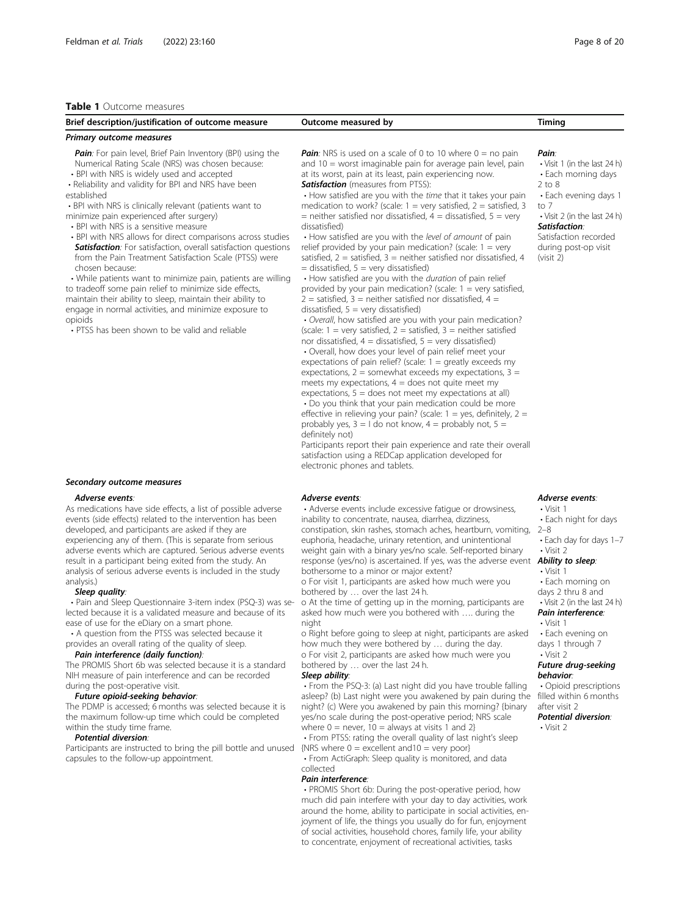#### <span id="page-7-0"></span>Table 1 Outcome measures

| Brief description/justification of outcome measure                                                                                                                                                                                                                                                                                                                                                                                                                                                                                                                                                                                                                                                                                                                                                                                                                                                                            | Outcome measured by                                                                                                                                                                                                                                                                                                                                                                                                                                                                                                                                                                                                                                                                                                                                                                                                                                                                                                                                                                                                                                                                                                                                                                                                                                                                                                                                                                                                                                                                                                                                                                                                                                                                                        | Timing                                                                                                                                                                                                                   |
|-------------------------------------------------------------------------------------------------------------------------------------------------------------------------------------------------------------------------------------------------------------------------------------------------------------------------------------------------------------------------------------------------------------------------------------------------------------------------------------------------------------------------------------------------------------------------------------------------------------------------------------------------------------------------------------------------------------------------------------------------------------------------------------------------------------------------------------------------------------------------------------------------------------------------------|------------------------------------------------------------------------------------------------------------------------------------------------------------------------------------------------------------------------------------------------------------------------------------------------------------------------------------------------------------------------------------------------------------------------------------------------------------------------------------------------------------------------------------------------------------------------------------------------------------------------------------------------------------------------------------------------------------------------------------------------------------------------------------------------------------------------------------------------------------------------------------------------------------------------------------------------------------------------------------------------------------------------------------------------------------------------------------------------------------------------------------------------------------------------------------------------------------------------------------------------------------------------------------------------------------------------------------------------------------------------------------------------------------------------------------------------------------------------------------------------------------------------------------------------------------------------------------------------------------------------------------------------------------------------------------------------------------|--------------------------------------------------------------------------------------------------------------------------------------------------------------------------------------------------------------------------|
| Primary outcome measures                                                                                                                                                                                                                                                                                                                                                                                                                                                                                                                                                                                                                                                                                                                                                                                                                                                                                                      |                                                                                                                                                                                                                                                                                                                                                                                                                                                                                                                                                                                                                                                                                                                                                                                                                                                                                                                                                                                                                                                                                                                                                                                                                                                                                                                                                                                                                                                                                                                                                                                                                                                                                                            |                                                                                                                                                                                                                          |
| <b>Pain:</b> For pain level, Brief Pain Inventory (BPI) using the<br>Numerical Rating Scale (NRS) was chosen because:<br>• BPI with NRS is widely used and accepted<br>• Reliability and validity for BPI and NRS have been<br>established<br>• BPI with NRS is clinically relevant (patients want to<br>minimize pain experienced after surgery)<br>• BPI with NRS is a sensitive measure<br>• BPI with NRS allows for direct comparisons across studies<br><b>Satisfaction:</b> For satisfaction, overall satisfaction questions<br>from the Pain Treatment Satisfaction Scale (PTSS) were<br>chosen because:<br>• While patients want to minimize pain, patients are willing<br>to tradeoff some pain relief to minimize side effects,<br>maintain their ability to sleep, maintain their ability to<br>engage in normal activities, and minimize exposure to<br>opioids<br>• PTSS has been shown to be valid and reliable | <b>Pain</b> : NRS is used on a scale of 0 to 10 where $0 =$ no pain<br>and 10 = worst imaginable pain for average pain level, pain<br>at its worst, pain at its least, pain experiencing now.<br><b>Satisfaction</b> (measures from PTSS):<br>• How satisfied are you with the <i>time</i> that it takes your pain<br>medication to work? (scale: $1 = \text{very satisfied}, 2 = \text{satisfied}, 3$<br>= neither satisfied nor dissatisfied, $4 =$ dissatisfied, $5 =$ very<br>dissatisfied)<br>• How satisfied are you with the level of amount of pain<br>relief provided by your pain medication? (scale: $1 = \text{very}$<br>satisfied, $2 =$ satisfied, $3 =$ neither satisfied nor dissatisfied, 4<br>$=$ dissatisfied, $5 =$ very dissatisfied)<br>• How satisfied are you with the <i>duration</i> of pain relief<br>provided by your pain medication? (scale: $1 = \text{very satisfied}$ ,<br>$2$ = satisfied, 3 = neither satisfied nor dissatisfied, 4 =<br>dissatisfied, $5 = \text{very dissatisfied}$ )<br>• Overall, how satisfied are you with your pain medication?<br>(scale: $1 = \text{very satisfied}, 2 = \text{satisfied}, 3 = \text{neither satisfied}$<br>nor dissatisfied, $4 =$ dissatisfied, $5 =$ very dissatisfied)<br>• Overall, how does your level of pain relief meet your<br>expectations of pain relief? (scale: $1 =$ greatly exceeds my<br>expectations, $2 =$ somewhat exceeds my expectations, $3 =$<br>meets my expectations, $4 =$ does not quite meet my<br>expectations, $5 =$ does not meet my expectations at all)<br>. Do you think that your pain medication could be more<br>effective in relieving your pain? (scale: $1 = yes$ , definitely, $2 =$ | Pain:<br>• Visit 1 (in the last 24 l<br>• Each morning days<br>$2$ to $8$<br>• Each evening days<br>to $7$<br>• Visit 2 (in the last 24 l<br>Satisfaction:<br>Satisfaction recorded<br>during post-op visit<br>(visit 2) |

#### Secondary outcome measures

#### Adverse events:

As medications have side effects, a list of possible adverse events (side effects) related to the intervention has been developed, and participants are asked if they are experiencing any of them. (This is separate from serious adverse events which are captured. Serious adverse events result in a participant being exited from the study. An analysis of serious adverse events is included in the study analysis.)

#### Sleep quality:

• Pain and Sleep Questionnaire 3-item index (PSQ-3) was selected because it is a validated measure and because of its ease of use for the eDiary on a smart phone.

• A question from the PTSS was selected because it provides an overall rating of the quality of sleep.

#### Pain interference (daily function):

The PROMIS Short 6b was selected because it is a standard NIH measure of pain interference and can be recorded during the post-operative visit.

#### Future opioid-seeking behavior:

The PDMP is accessed; 6 months was selected because it is the maximum follow-up time which could be completed within the study time frame.

#### Potential diversion:

Participants are instructed to bring the pill bottle and unused capsules to the follow-up appointment.

#### Adverse events:

electronic phones and tablets.

definitely not)

• Adverse events include excessive fatigue or drowsiness, inability to concentrate, nausea, diarrhea, dizziness, constipation, skin rashes, stomach aches, heartburn, vomiting, 2–8 euphoria, headache, urinary retention, and unintentional weight gain with a binary yes/no scale. Self-reported binary response (yes/no) is ascertained. If yes, was the adverse event **Ability to sleep**. bothersome to a minor or major extent?

probably yes,  $3 = 1$  do not know,  $4 =$  probably not,  $5 =$ 

Participants report their pain experience and rate their overall satisfaction using a REDCap application developed for

o For visit 1, participants are asked how much were you bothered by … over the last 24 h.

o At the time of getting up in the morning, participants are asked how much were you bothered with …. during the night

o Right before going to sleep at night, participants are asked how much they were bothered by … during the day. o For visit 2, participants are asked how much were you bothered by … over the last 24 h.

#### Sleep ability:

• From the PSQ-3: (a) Last night did you have trouble falling asleep? (b) Last night were you awakened by pain during the night? (c) Were you awakened by pain this morning? {binary yes/no scale during the post-operative period; NRS scale where  $0 =$  never,  $10 =$  always at visits 1 and 2} • From PTSS: rating the overall quality of last night's sleep

 ${NRS}$  where  $0 = 5$  excellent and  $10 = 7$  very poor • From ActiGraph: Sleep quality is monitored, and data

collected

#### Pain interference:

• PROMIS Short 6b: During the post-operative period, how much did pain interfere with your day to day activities, work around the home, ability to participate in social activities, enjoyment of life, the things you usually do for fun, enjoyment of social activities, household chores, family life, your ability to concentrate, enjoyment of recreational activities, tasks

 $24 h$ )

tavs 1

 $24 h$ )

# Adverse events:

- Visit 1 • Each night for days
- 
- Each day for days 1–7
- Visit 2

• Visit 1

- Each morning on
- days 2 thru 8 and • Visit 2 (in the last 24 h)
- Pain interference:

# • Visit 1

• Each evening on days 1 through 7

#### • Visit 2 Future drug-seeking behavior:

• Opioid prescriptions filled within 6 months after visit 2

Potential diversion: • Visit 2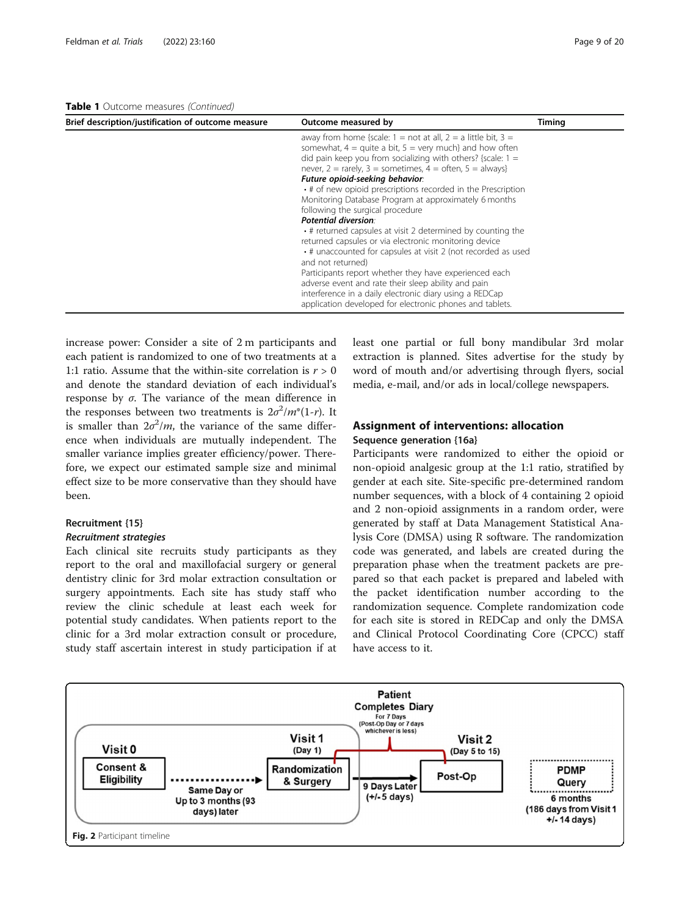<span id="page-8-0"></span>Table 1 Outcome measures (Continued)

| Brief description/justification of outcome measure | Outcome measured by                                                                        | Timing |
|----------------------------------------------------|--------------------------------------------------------------------------------------------|--------|
|                                                    | away from home {scale: $1 = \text{not at all}$ , $2 = \text{a little bit}$ , $3 = \text{}$ |        |
|                                                    | somewhat, $4 =$ quite a bit, $5 =$ very much} and how often                                |        |
|                                                    | did pain keep you from socializing with others? {scale: $1 =$                              |        |
|                                                    | never, $2 =$ rarely, $3 =$ sometimes, $4 =$ often, $5 =$ always}                           |        |
|                                                    | Future opioid-seeking behavior:                                                            |        |
|                                                    | • # of new opioid prescriptions recorded in the Prescription                               |        |
|                                                    | Monitoring Database Program at approximately 6 months                                      |        |
|                                                    | following the surgical procedure                                                           |        |
|                                                    | Potential diversion:                                                                       |        |
|                                                    | • # returned capsules at visit 2 determined by counting the                                |        |
|                                                    | returned capsules or via electronic monitoring device                                      |        |
|                                                    | • # unaccounted for capsules at visit 2 (not recorded as used                              |        |
|                                                    | and not returned)                                                                          |        |
|                                                    | Participants report whether they have experienced each                                     |        |
|                                                    | adverse event and rate their sleep ability and pain                                        |        |
|                                                    | interference in a daily electronic diary using a REDCap                                    |        |
|                                                    | application developed for electronic phones and tablets.                                   |        |

increase power: Consider a site of 2 m participants and each patient is randomized to one of two treatments at a 1:1 ratio. Assume that the within-site correlation is  $r > 0$ and denote the standard deviation of each individual's response by σ. The variance of the mean difference in the responses between two treatments is  $2\sigma^2/m^*(1-r)$ . It is smaller than  $2\sigma^2/m$ , the variance of the same difference when individuals are mutually independent. The smaller variance implies greater efficiency/power. Therefore, we expect our estimated sample size and minimal effect size to be more conservative than they should have been.

# Recruitment {15}

# Recruitment strategies

Each clinical site recruits study participants as they report to the oral and maxillofacial surgery or general dentistry clinic for 3rd molar extraction consultation or surgery appointments. Each site has study staff who review the clinic schedule at least each week for potential study candidates. When patients report to the clinic for a 3rd molar extraction consult or procedure, study staff ascertain interest in study participation if at least one partial or full bony mandibular 3rd molar extraction is planned. Sites advertise for the study by word of mouth and/or advertising through flyers, social media, e-mail, and/or ads in local/college newspapers.

# Assignment of interventions: allocation Sequence generation {16a}

Participants were randomized to either the opioid or non-opioid analgesic group at the 1:1 ratio, stratified by gender at each site. Site-specific pre-determined random number sequences, with a block of 4 containing 2 opioid and 2 non-opioid assignments in a random order, were generated by staff at Data Management Statistical Analysis Core (DMSA) using R software. The randomization code was generated, and labels are created during the preparation phase when the treatment packets are prepared so that each packet is prepared and labeled with the packet identification number according to the randomization sequence. Complete randomization code for each site is stored in REDCap and only the DMSA and Clinical Protocol Coordinating Core (CPCC) staff have access to it.

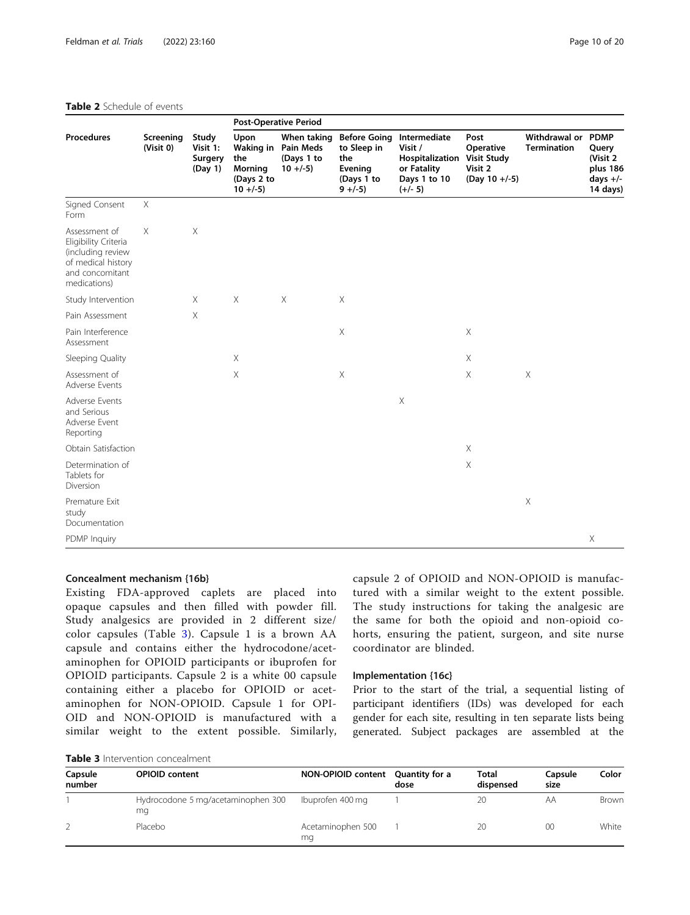#### <span id="page-9-0"></span>Table 2 Schedule of events

|                                                                                                                     | Screening<br>(Visit 0) | Study<br>Visit 1:<br>Surgery<br>(Day 1) | <b>Post-Operative Period</b>                               |                                                                 |                                                                                  |                                                                                                           |                                                 |                                                 |                                                         |
|---------------------------------------------------------------------------------------------------------------------|------------------------|-----------------------------------------|------------------------------------------------------------|-----------------------------------------------------------------|----------------------------------------------------------------------------------|-----------------------------------------------------------------------------------------------------------|-------------------------------------------------|-------------------------------------------------|---------------------------------------------------------|
| <b>Procedures</b>                                                                                                   |                        |                                         | Upon<br>the<br><b>Morning</b><br>(Days 2 to<br>$10 + (-5)$ | When taking<br>Waking in Pain Meds<br>(Days 1 to<br>$10 + (-5)$ | <b>Before Going</b><br>to Sleep in<br>the<br>Evening<br>(Days 1 to<br>$9 + (-5)$ | Intermediate<br>Visit /<br><b>Hospitalization Visit Study</b><br>or Fatality<br>Days 1 to 10<br>$(+/- 5)$ | Post<br>Operative<br>Visit 2<br>$(Day 10 +/-5)$ | <b>Withdrawal or PDMP</b><br><b>Termination</b> | Query<br>(Visit 2<br>plus 186<br>days $+/-$<br>14 days) |
| Signed Consent<br>Form                                                                                              | $\times$               |                                         |                                                            |                                                                 |                                                                                  |                                                                                                           |                                                 |                                                 |                                                         |
| Assessment of<br>Eligibility Criteria<br>(including review<br>of medical history<br>and concomitant<br>medications) | $\times$               | X                                       |                                                            |                                                                 |                                                                                  |                                                                                                           |                                                 |                                                 |                                                         |
| Study Intervention                                                                                                  |                        | $\times$                                | $\times$                                                   | $\times$                                                        | X                                                                                |                                                                                                           |                                                 |                                                 |                                                         |
| Pain Assessment                                                                                                     |                        | X                                       |                                                            |                                                                 |                                                                                  |                                                                                                           |                                                 |                                                 |                                                         |
| Pain Interference<br>Assessment                                                                                     |                        |                                         |                                                            |                                                                 | X                                                                                |                                                                                                           | $\mathsf X$                                     |                                                 |                                                         |
| Sleeping Quality                                                                                                    |                        |                                         | $\mathsf X$                                                |                                                                 |                                                                                  |                                                                                                           | $\mathsf X$                                     |                                                 |                                                         |
| Assessment of<br>Adverse Events                                                                                     |                        |                                         | $\mathsf X$                                                |                                                                 | X                                                                                |                                                                                                           | X                                               | X                                               |                                                         |
| Adverse Events<br>and Serious<br>Adverse Event<br>Reporting                                                         |                        |                                         |                                                            |                                                                 |                                                                                  | $\times$                                                                                                  |                                                 |                                                 |                                                         |
| Obtain Satisfaction                                                                                                 |                        |                                         |                                                            |                                                                 |                                                                                  |                                                                                                           | $\times$                                        |                                                 |                                                         |
| Determination of<br>Tablets for<br>Diversion                                                                        |                        |                                         |                                                            |                                                                 |                                                                                  |                                                                                                           | $\mathsf X$                                     |                                                 |                                                         |
| Premature Exit<br>study<br>Documentation                                                                            |                        |                                         |                                                            |                                                                 |                                                                                  |                                                                                                           |                                                 | X                                               |                                                         |
| PDMP Inquiry                                                                                                        |                        |                                         |                                                            |                                                                 |                                                                                  |                                                                                                           |                                                 |                                                 | $\times$                                                |

#### Concealment mechanism {16b}

Existing FDA-approved caplets are placed into opaque capsules and then filled with powder fill. Study analgesics are provided in 2 different size/ color capsules (Table 3). Capsule 1 is a brown AA capsule and contains either the hydrocodone/acetaminophen for OPIOID participants or ibuprofen for OPIOID participants. Capsule 2 is a white 00 capsule containing either a placebo for OPIOID or acetaminophen for NON-OPIOID. Capsule 1 for OPI-OID and NON-OPIOID is manufactured with a similar weight to the extent possible. Similarly,

capsule 2 of OPIOID and NON-OPIOID is manufactured with a similar weight to the extent possible. The study instructions for taking the analgesic are the same for both the opioid and non-opioid cohorts, ensuring the patient, surgeon, and site nurse coordinator are blinded.

# Implementation {16c}

Prior to the start of the trial, a sequential listing of participant identifiers (IDs) was developed for each gender for each site, resulting in ten separate lists being generated. Subject packages are assembled at the

| Capsule<br>number | <b>OPIOID</b> content                    | NON-OPIOID content Quantity for a | dose | Total<br>dispensed | Capsule<br>size | Color |
|-------------------|------------------------------------------|-----------------------------------|------|--------------------|-----------------|-------|
|                   | Hydrocodone 5 mg/acetaminophen 300<br>mq | Ibuprofen 400 mg                  |      | 20                 | AΑ              | Brown |
|                   | Placebo                                  | Acetaminophen 500<br>ma           |      | 20                 | 00              | White |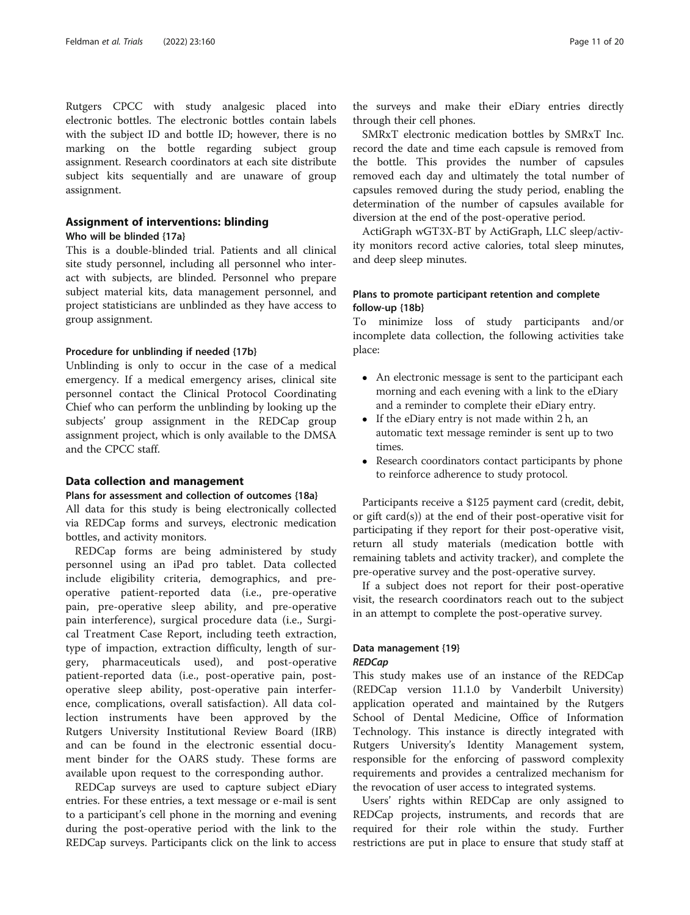Rutgers CPCC with study analgesic placed into electronic bottles. The electronic bottles contain labels with the subject ID and bottle ID; however, there is no marking on the bottle regarding subject group assignment. Research coordinators at each site distribute subject kits sequentially and are unaware of group assignment.

# Assignment of interventions: blinding

#### Who will be blinded {17a}

This is a double-blinded trial. Patients and all clinical site study personnel, including all personnel who interact with subjects, are blinded. Personnel who prepare subject material kits, data management personnel, and project statisticians are unblinded as they have access to group assignment.

#### Procedure for unblinding if needed {17b}

Unblinding is only to occur in the case of a medical emergency. If a medical emergency arises, clinical site personnel contact the Clinical Protocol Coordinating Chief who can perform the unblinding by looking up the subjects' group assignment in the REDCap group assignment project, which is only available to the DMSA and the CPCC staff.

#### Data collection and management

# Plans for assessment and collection of outcomes {18a}

All data for this study is being electronically collected via REDCap forms and surveys, electronic medication bottles, and activity monitors.

REDCap forms are being administered by study personnel using an iPad pro tablet. Data collected include eligibility criteria, demographics, and preoperative patient-reported data (i.e., pre-operative pain, pre-operative sleep ability, and pre-operative pain interference), surgical procedure data (i.e., Surgical Treatment Case Report, including teeth extraction, type of impaction, extraction difficulty, length of surgery, pharmaceuticals used), and post-operative patient-reported data (i.e., post-operative pain, postoperative sleep ability, post-operative pain interference, complications, overall satisfaction). All data collection instruments have been approved by the Rutgers University Institutional Review Board (IRB) and can be found in the electronic essential document binder for the OARS study. These forms are available upon request to the corresponding author.

REDCap surveys are used to capture subject eDiary entries. For these entries, a text message or e-mail is sent to a participant's cell phone in the morning and evening during the post-operative period with the link to the REDCap surveys. Participants click on the link to access the surveys and make their eDiary entries directly through their cell phones.

SMRxT electronic medication bottles by SMRxT Inc. record the date and time each capsule is removed from the bottle. This provides the number of capsules removed each day and ultimately the total number of capsules removed during the study period, enabling the determination of the number of capsules available for diversion at the end of the post-operative period.

ActiGraph wGT3X-BT by ActiGraph, LLC sleep/activity monitors record active calories, total sleep minutes, and deep sleep minutes.

# Plans to promote participant retention and complete follow-up {18b}

To minimize loss of study participants and/or incomplete data collection, the following activities take place:

- An electronic message is sent to the participant each morning and each evening with a link to the eDiary and a reminder to complete their eDiary entry.
- If the eDiary entry is not made within 2 h, an automatic text message reminder is sent up to two times.
- Research coordinators contact participants by phone to reinforce adherence to study protocol.

Participants receive a \$125 payment card (credit, debit, or gift card(s)) at the end of their post-operative visit for participating if they report for their post-operative visit, return all study materials (medication bottle with remaining tablets and activity tracker), and complete the pre-operative survey and the post-operative survey.

If a subject does not report for their post-operative visit, the research coordinators reach out to the subject in an attempt to complete the post-operative survey.

## Data management {19} REDCap

This study makes use of an instance of the REDCap (REDCap version 11.1.0 by Vanderbilt University) application operated and maintained by the Rutgers School of Dental Medicine, Office of Information Technology. This instance is directly integrated with Rutgers University's Identity Management system, responsible for the enforcing of password complexity requirements and provides a centralized mechanism for the revocation of user access to integrated systems.

Users' rights within REDCap are only assigned to REDCap projects, instruments, and records that are required for their role within the study. Further restrictions are put in place to ensure that study staff at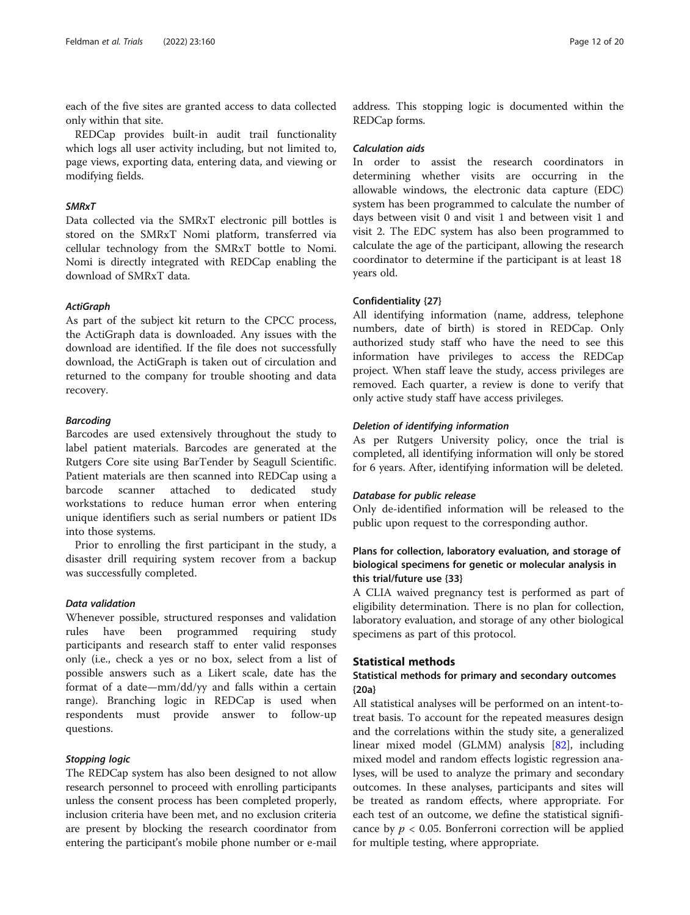each of the five sites are granted access to data collected only within that site.

REDCap provides built-in audit trail functionality which logs all user activity including, but not limited to, page views, exporting data, entering data, and viewing or modifying fields.

# SMRxT

Data collected via the SMRxT electronic pill bottles is stored on the SMRxT Nomi platform, transferred via cellular technology from the SMRxT bottle to Nomi. Nomi is directly integrated with REDCap enabling the download of SMRxT data.

#### **ActiGraph**

As part of the subject kit return to the CPCC process, the ActiGraph data is downloaded. Any issues with the download are identified. If the file does not successfully download, the ActiGraph is taken out of circulation and returned to the company for trouble shooting and data recovery.

#### Barcoding

Barcodes are used extensively throughout the study to label patient materials. Barcodes are generated at the Rutgers Core site using BarTender by Seagull Scientific. Patient materials are then scanned into REDCap using a barcode scanner attached to dedicated study workstations to reduce human error when entering unique identifiers such as serial numbers or patient IDs into those systems.

Prior to enrolling the first participant in the study, a disaster drill requiring system recover from a backup was successfully completed.

#### Data validation

Whenever possible, structured responses and validation rules have been programmed requiring study participants and research staff to enter valid responses only (i.e., check a yes or no box, select from a list of possible answers such as a Likert scale, date has the format of a date—mm/dd/yy and falls within a certain range). Branching logic in REDCap is used when respondents must provide answer to follow-up questions.

#### Stopping logic

The REDCap system has also been designed to not allow research personnel to proceed with enrolling participants unless the consent process has been completed properly, inclusion criteria have been met, and no exclusion criteria are present by blocking the research coordinator from entering the participant's mobile phone number or e-mail

address. This stopping logic is documented within the REDCap forms.

#### Calculation aids

In order to assist the research coordinators in determining whether visits are occurring in the allowable windows, the electronic data capture (EDC) system has been programmed to calculate the number of days between visit 0 and visit 1 and between visit 1 and visit 2. The EDC system has also been programmed to calculate the age of the participant, allowing the research coordinator to determine if the participant is at least 18 years old.

#### Confidentiality {27}

All identifying information (name, address, telephone numbers, date of birth) is stored in REDCap. Only authorized study staff who have the need to see this information have privileges to access the REDCap project. When staff leave the study, access privileges are removed. Each quarter, a review is done to verify that only active study staff have access privileges.

#### Deletion of identifying information

As per Rutgers University policy, once the trial is completed, all identifying information will only be stored for 6 years. After, identifying information will be deleted.

#### Database for public release

Only de-identified information will be released to the public upon request to the corresponding author.

# Plans for collection, laboratory evaluation, and storage of biological specimens for genetic or molecular analysis in this trial/future use {33}

A CLIA waived pregnancy test is performed as part of eligibility determination. There is no plan for collection, laboratory evaluation, and storage of any other biological specimens as part of this protocol.

## Statistical methods

# Statistical methods for primary and secondary outcomes {20a}

All statistical analyses will be performed on an intent-totreat basis. To account for the repeated measures design and the correlations within the study site, a generalized linear mixed model (GLMM) analysis [\[82](#page-19-0)], including mixed model and random effects logistic regression analyses, will be used to analyze the primary and secondary outcomes. In these analyses, participants and sites will be treated as random effects, where appropriate. For each test of an outcome, we define the statistical significance by  $p < 0.05$ . Bonferroni correction will be applied for multiple testing, where appropriate.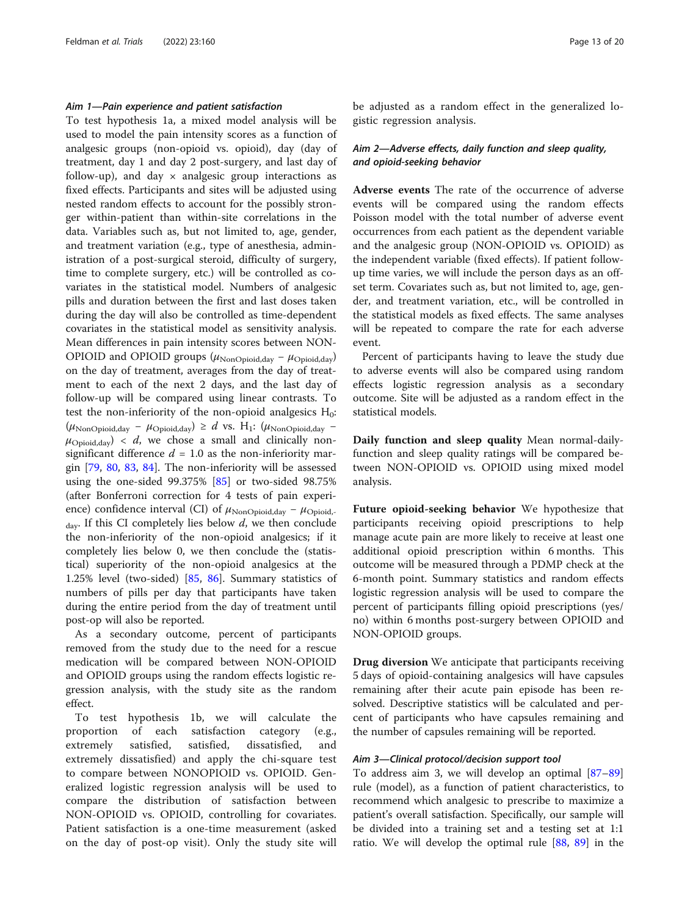## Aim 1—Pain experience and patient satisfaction

To test hypothesis 1a, a mixed model analysis will be used to model the pain intensity scores as a function of analgesic groups (non-opioid vs. opioid), day (day of treatment, day 1 and day 2 post-surgery, and last day of follow-up), and day  $\times$  analgesic group interactions as fixed effects. Participants and sites will be adjusted using nested random effects to account for the possibly stronger within-patient than within-site correlations in the data. Variables such as, but not limited to, age, gender, and treatment variation (e.g., type of anesthesia, administration of a post-surgical steroid, difficulty of surgery, time to complete surgery, etc.) will be controlled as covariates in the statistical model. Numbers of analgesic pills and duration between the first and last doses taken during the day will also be controlled as time-dependent covariates in the statistical model as sensitivity analysis. Mean differences in pain intensity scores between NON-OPIOID and OPIOID groups ( $\mu_{\text{NonOpiod,day}} - \mu_{\text{Opiod,day}}$ ) on the day of treatment, averages from the day of treatment to each of the next 2 days, and the last day of follow-up will be compared using linear contrasts. To test the non-inferiority of the non-opioid analgesics  $H_0$ :  $(\mu_{\text{NonOpoid,day}} - \mu_{\text{Oploid,day}}) \ge d$  vs. H<sub>1</sub>:  $(\mu_{\text{NonOpoid,day}} \mu_{\text{Opioid,day}}$  < d, we chose a small and clinically nonsignificant difference  $d = 1.0$  as the non-inferiority margin [\[79](#page-19-0), [80,](#page-19-0) [83](#page-19-0), [84](#page-19-0)]. The non-inferiority will be assessed using the one-sided 99.375% [\[85](#page-19-0)] or two-sided 98.75% (after Bonferroni correction for 4 tests of pain experience) confidence interval (CI) of  $\mu_{\text{NonOpoid,day}} - \mu_{\text{Oploid}}$ .  $_{\text{dav}}$ . If this CI completely lies below d, we then conclude the non-inferiority of the non-opioid analgesics; if it completely lies below 0, we then conclude the (statistical) superiority of the non-opioid analgesics at the 1.25% level (two-sided) [\[85](#page-19-0), [86](#page-19-0)]. Summary statistics of numbers of pills per day that participants have taken during the entire period from the day of treatment until post-op will also be reported.

As a secondary outcome, percent of participants removed from the study due to the need for a rescue medication will be compared between NON-OPIOID and OPIOID groups using the random effects logistic regression analysis, with the study site as the random effect.

To test hypothesis 1b, we will calculate the proportion of each satisfaction category (e.g., extremely satisfied, satisfied, dissatisfied, and extremely dissatisfied) and apply the chi-square test to compare between NONOPIOID vs. OPIOID. Generalized logistic regression analysis will be used to compare the distribution of satisfaction between NON-OPIOID vs. OPIOID, controlling for covariates. Patient satisfaction is a one-time measurement (asked on the day of post-op visit). Only the study site will be adjusted as a random effect in the generalized logistic regression analysis.

# Aim 2—Adverse effects, daily function and sleep quality, and opioid-seeking behavior

Adverse events The rate of the occurrence of adverse events will be compared using the random effects Poisson model with the total number of adverse event occurrences from each patient as the dependent variable and the analgesic group (NON-OPIOID vs. OPIOID) as the independent variable (fixed effects). If patient followup time varies, we will include the person days as an offset term. Covariates such as, but not limited to, age, gender, and treatment variation, etc., will be controlled in the statistical models as fixed effects. The same analyses will be repeated to compare the rate for each adverse event.

Percent of participants having to leave the study due to adverse events will also be compared using random effects logistic regression analysis as a secondary outcome. Site will be adjusted as a random effect in the statistical models.

Daily function and sleep quality Mean normal-dailyfunction and sleep quality ratings will be compared between NON-OPIOID vs. OPIOID using mixed model analysis.

Future opioid-seeking behavior We hypothesize that participants receiving opioid prescriptions to help manage acute pain are more likely to receive at least one additional opioid prescription within 6 months. This outcome will be measured through a PDMP check at the 6-month point. Summary statistics and random effects logistic regression analysis will be used to compare the percent of participants filling opioid prescriptions (yes/ no) within 6 months post-surgery between OPIOID and NON-OPIOID groups.

Drug diversion We anticipate that participants receiving 5 days of opioid-containing analgesics will have capsules remaining after their acute pain episode has been resolved. Descriptive statistics will be calculated and percent of participants who have capsules remaining and the number of capsules remaining will be reported.

#### Aim 3—Clinical protocol/decision support tool

To address aim 3, we will develop an optimal [[87](#page-19-0)–[89](#page-19-0)] rule (model), as a function of patient characteristics, to recommend which analgesic to prescribe to maximize a patient's overall satisfaction. Specifically, our sample will be divided into a training set and a testing set at 1:1 ratio. We will develop the optimal rule [[88](#page-19-0), [89\]](#page-19-0) in the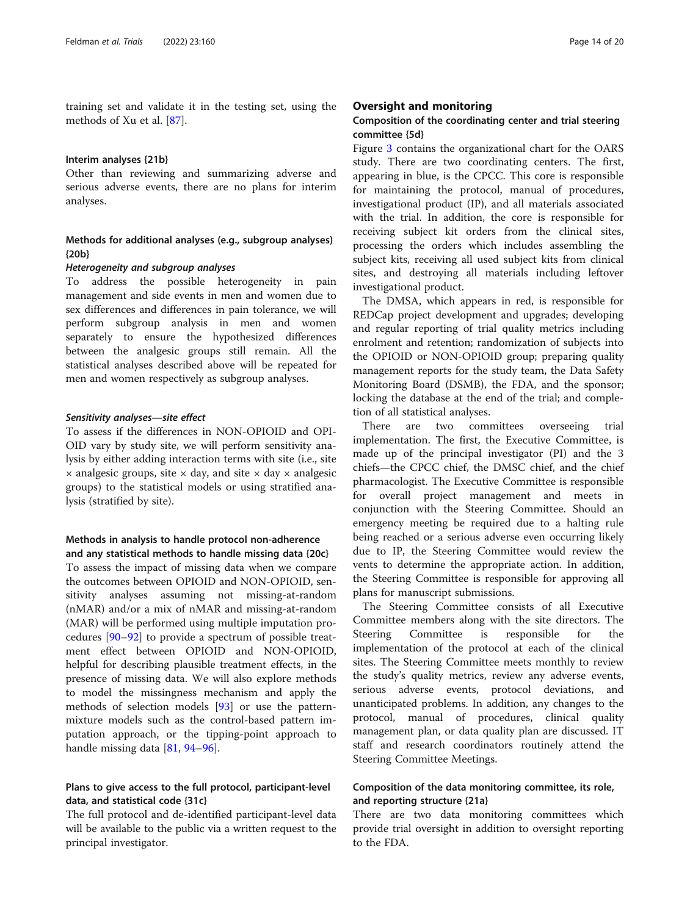training set and validate it in the testing set, using the methods of Xu et al. [\[87](#page-19-0)].

#### Interim analyses {21b}

Other than reviewing and summarizing adverse and serious adverse events, there are no plans for interim analyses.

# Methods for additional analyses (e.g., subgroup analyses) {20b}

#### Heterogeneity and subgroup analyses

To address the possible heterogeneity in pain management and side events in men and women due to sex differences and differences in pain tolerance, we will perform subgroup analysis in men and women separately to ensure the hypothesized differences between the analgesic groups still remain. All the statistical analyses described above will be repeated for men and women respectively as subgroup analyses.

#### Sensitivity analyses—site effect

To assess if the differences in NON-OPIOID and OPI-OID vary by study site, we will perform sensitivity analysis by either adding interaction terms with site (i.e., site  $\times$  analgesic groups, site  $\times$  day, and site  $\times$  day  $\times$  analgesic groups) to the statistical models or using stratified analysis (stratified by site).

# Methods in analysis to handle protocol non-adherence and any statistical methods to handle missing data {20c}

To assess the impact of missing data when we compare the outcomes between OPIOID and NON-OPIOID, sensitivity analyses assuming not missing-at-random (nMAR) and/or a mix of nMAR and missing-at-random (MAR) will be performed using multiple imputation procedures [\[90](#page-19-0)–[92\]](#page-19-0) to provide a spectrum of possible treatment effect between OPIOID and NON-OPIOID, helpful for describing plausible treatment effects, in the presence of missing data. We will also explore methods to model the missingness mechanism and apply the methods of selection models [[93\]](#page-19-0) or use the patternmixture models such as the control-based pattern imputation approach, or the tipping-point approach to handle missing data [\[81,](#page-19-0) [94](#page-19-0)–[96\]](#page-19-0).

# Plans to give access to the full protocol, participant-level data, and statistical code {31c}

The full protocol and de-identified participant-level data will be available to the public via a written request to the principal investigator.

## Oversight and monitoring

# Composition of the coordinating center and trial steering committee {5d}

Figure [3](#page-14-0) contains the organizational chart for the OARS study. There are two coordinating centers. The first, appearing in blue, is the CPCC. This core is responsible for maintaining the protocol, manual of procedures, investigational product (IP), and all materials associated with the trial. In addition, the core is responsible for receiving subject kit orders from the clinical sites, processing the orders which includes assembling the subject kits, receiving all used subject kits from clinical sites, and destroying all materials including leftover investigational product.

The DMSA, which appears in red, is responsible for REDCap project development and upgrades; developing and regular reporting of trial quality metrics including enrolment and retention; randomization of subjects into the OPIOID or NON-OPIOID group; preparing quality management reports for the study team, the Data Safety Monitoring Board (DSMB), the FDA, and the sponsor; locking the database at the end of the trial; and completion of all statistical analyses.

There are two committees overseeing trial implementation. The first, the Executive Committee, is made up of the principal investigator (PI) and the 3 chiefs—the CPCC chief, the DMSC chief, and the chief pharmacologist. The Executive Committee is responsible for overall project management and meets in conjunction with the Steering Committee. Should an emergency meeting be required due to a halting rule being reached or a serious adverse even occurring likely due to IP, the Steering Committee would review the vents to determine the appropriate action. In addition, the Steering Committee is responsible for approving all plans for manuscript submissions.

The Steering Committee consists of all Executive Committee members along with the site directors. The Steering Committee is responsible for the implementation of the protocol at each of the clinical sites. The Steering Committee meets monthly to review the study's quality metrics, review any adverse events, serious adverse events, protocol deviations, and unanticipated problems. In addition, any changes to the protocol, manual of procedures, clinical quality management plan, or data quality plan are discussed. IT staff and research coordinators routinely attend the Steering Committee Meetings.

# Composition of the data monitoring committee, its role, and reporting structure {21a}

There are two data monitoring committees which provide trial oversight in addition to oversight reporting to the FDA.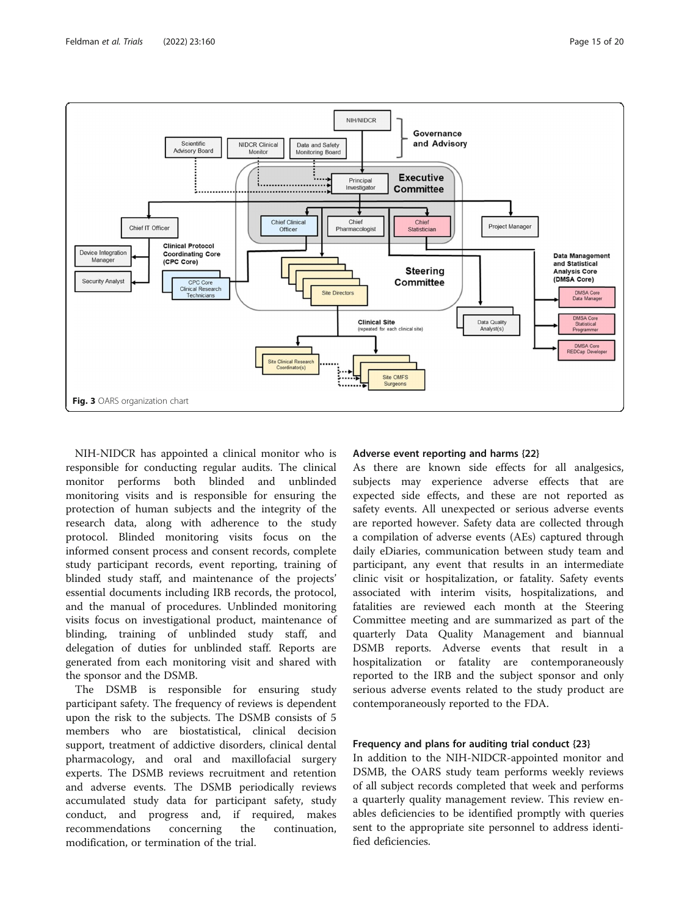<span id="page-14-0"></span>

NIH-NIDCR has appointed a clinical monitor who is responsible for conducting regular audits. The clinical monitor performs both blinded and unblinded monitoring visits and is responsible for ensuring the protection of human subjects and the integrity of the research data, along with adherence to the study protocol. Blinded monitoring visits focus on the informed consent process and consent records, complete study participant records, event reporting, training of blinded study staff, and maintenance of the projects' essential documents including IRB records, the protocol, and the manual of procedures. Unblinded monitoring visits focus on investigational product, maintenance of blinding, training of unblinded study staff, and delegation of duties for unblinded staff. Reports are generated from each monitoring visit and shared with the sponsor and the DSMB.

The DSMB is responsible for ensuring study participant safety. The frequency of reviews is dependent upon the risk to the subjects. The DSMB consists of 5 members who are biostatistical, clinical decision support, treatment of addictive disorders, clinical dental pharmacology, and oral and maxillofacial surgery experts. The DSMB reviews recruitment and retention and adverse events. The DSMB periodically reviews accumulated study data for participant safety, study conduct, and progress and, if required, makes recommendations concerning the continuation, modification, or termination of the trial.

# Adverse event reporting and harms {22}

As there are known side effects for all analgesics, subjects may experience adverse effects that are expected side effects, and these are not reported as safety events. All unexpected or serious adverse events are reported however. Safety data are collected through a compilation of adverse events (AEs) captured through daily eDiaries, communication between study team and participant, any event that results in an intermediate clinic visit or hospitalization, or fatality. Safety events associated with interim visits, hospitalizations, and fatalities are reviewed each month at the Steering Committee meeting and are summarized as part of the quarterly Data Quality Management and biannual DSMB reports. Adverse events that result in a hospitalization or fatality are contemporaneously reported to the IRB and the subject sponsor and only serious adverse events related to the study product are contemporaneously reported to the FDA.

# Frequency and plans for auditing trial conduct {23}

In addition to the NIH-NIDCR-appointed monitor and DSMB, the OARS study team performs weekly reviews of all subject records completed that week and performs a quarterly quality management review. This review enables deficiencies to be identified promptly with queries sent to the appropriate site personnel to address identified deficiencies.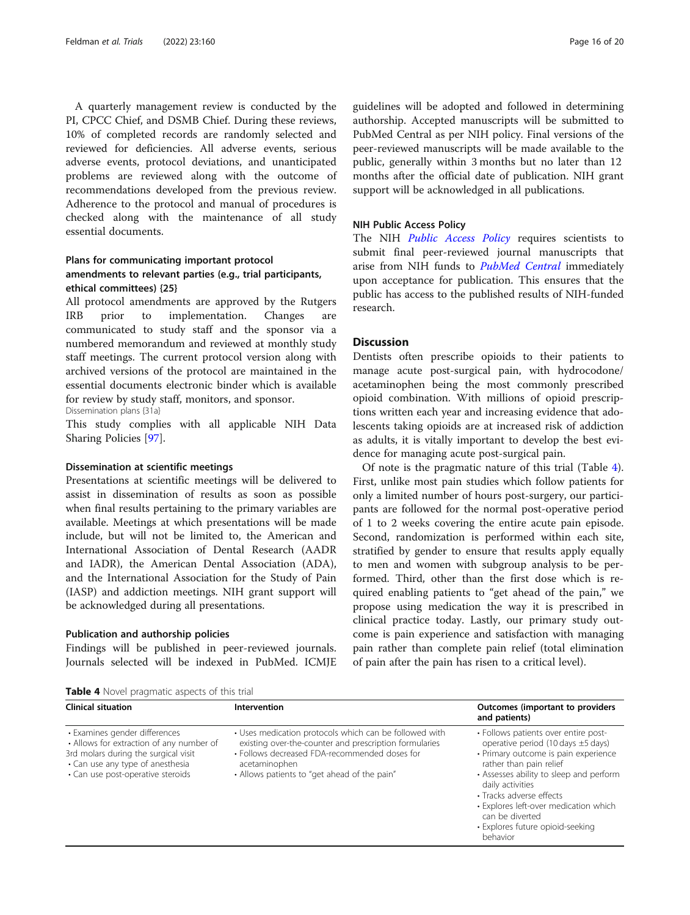A quarterly management review is conducted by the PI, CPCC Chief, and DSMB Chief. During these reviews, 10% of completed records are randomly selected and reviewed for deficiencies. All adverse events, serious adverse events, protocol deviations, and unanticipated problems are reviewed along with the outcome of recommendations developed from the previous review. Adherence to the protocol and manual of procedures is checked along with the maintenance of all study essential documents.

# Plans for communicating important protocol amendments to relevant parties (e.g., trial participants, ethical committees) {25}

All protocol amendments are approved by the Rutgers IRB prior to implementation. Changes are communicated to study staff and the sponsor via a numbered memorandum and reviewed at monthly study staff meetings. The current protocol version along with archived versions of the protocol are maintained in the essential documents electronic binder which is available for review by study staff, monitors, and sponsor. Dissemination plans {31a}

This study complies with all applicable NIH Data Sharing Policies [[97\]](#page-19-0).

# Dissemination at scientific meetings

Presentations at scientific meetings will be delivered to assist in dissemination of results as soon as possible when final results pertaining to the primary variables are available. Meetings at which presentations will be made include, but will not be limited to, the American and International Association of Dental Research (AADR and IADR), the American Dental Association (ADA), and the International Association for the Study of Pain (IASP) and addiction meetings. NIH grant support will be acknowledged during all presentations.

#### Publication and authorship policies

Findings will be published in peer-reviewed journals. Journals selected will be indexed in PubMed. ICMJE guidelines will be adopted and followed in determining authorship. Accepted manuscripts will be submitted to PubMed Central as per NIH policy. Final versions of the peer-reviewed manuscripts will be made available to the public, generally within 3 months but no later than 12 months after the official date of publication. NIH grant support will be acknowledged in all publications.

#### NIH Public Access Policy

The NIH [Public Access Policy](https://publicaccess.nih.gov/index.htm) requires scientists to submit final peer-reviewed journal manuscripts that arise from NIH funds to [PubMed Central](https://www.ncbi.nlm.nih.gov/pmc/) immediately upon acceptance for publication. This ensures that the public has access to the published results of NIH-funded research.

### **Discussion**

Dentists often prescribe opioids to their patients to manage acute post-surgical pain, with hydrocodone/ acetaminophen being the most commonly prescribed opioid combination. With millions of opioid prescriptions written each year and increasing evidence that adolescents taking opioids are at increased risk of addiction as adults, it is vitally important to develop the best evidence for managing acute post-surgical pain.

Of note is the pragmatic nature of this trial (Table 4). First, unlike most pain studies which follow patients for only a limited number of hours post-surgery, our participants are followed for the normal post-operative period of 1 to 2 weeks covering the entire acute pain episode. Second, randomization is performed within each site, stratified by gender to ensure that results apply equally to men and women with subgroup analysis to be performed. Third, other than the first dose which is required enabling patients to "get ahead of the pain," we propose using medication the way it is prescribed in clinical practice today. Lastly, our primary study outcome is pain experience and satisfaction with managing pain rather than complete pain relief (total elimination of pain after the pain has risen to a critical level).

Table 4 Novel pragmatic aspects of this trial

| <b>Clinical situation</b>                                                                                                                                                                  | Intervention                                                                                                                                                                                                                       | Outcomes (important to providers<br>and patients)                                                                                                                                                                                                                                                                                                         |
|--------------------------------------------------------------------------------------------------------------------------------------------------------------------------------------------|------------------------------------------------------------------------------------------------------------------------------------------------------------------------------------------------------------------------------------|-----------------------------------------------------------------------------------------------------------------------------------------------------------------------------------------------------------------------------------------------------------------------------------------------------------------------------------------------------------|
| • Examines gender differences<br>• Allows for extraction of any number of<br>3rd molars during the surgical visit<br>• Can use any type of anesthesia<br>· Can use post-operative steroids | • Uses medication protocols which can be followed with<br>existing over-the-counter and prescription formularies<br>• Follows decreased FDA-recommended doses for<br>acetaminophen<br>• Allows patients to "get ahead of the pain" | • Follows patients over entire post-<br>operative period (10 days $\pm$ 5 days)<br>· Primary outcome is pain experience<br>rather than pain relief<br>• Assesses ability to sleep and perform<br>daily activities<br>• Tracks adverse effects<br>• Explores left-over medication which<br>can be diverted<br>· Explores future opioid-seeking<br>behavior |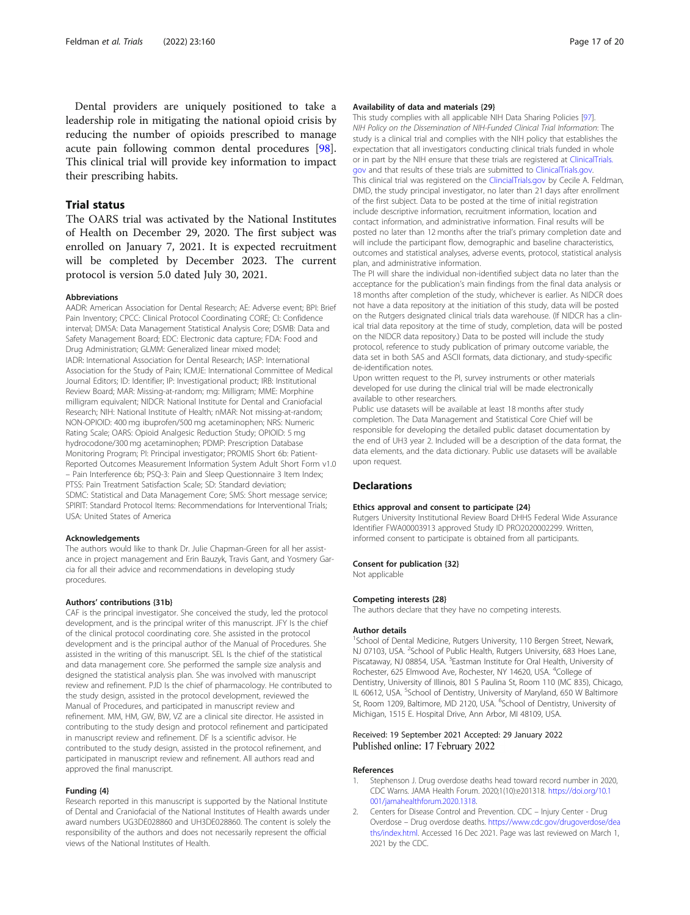<span id="page-16-0"></span>Dental providers are uniquely positioned to take a leadership role in mitigating the national opioid crisis by reducing the number of opioids prescribed to manage acute pain following common dental procedures [\[98](#page-19-0)]. This clinical trial will provide key information to impact their prescribing habits.

# Trial status

The OARS trial was activated by the National Institutes of Health on December 29, 2020. The first subject was enrolled on January 7, 2021. It is expected recruitment will be completed by December 2023. The current protocol is version 5.0 dated July 30, 2021.

#### **Abbreviations**

AADR: American Association for Dental Research; AE: Adverse event; BPI: Brief Pain Inventory; CPCC: Clinical Protocol Coordinating CORE; CI: Confidence interval; DMSA: Data Management Statistical Analysis Core; DSMB: Data and Safety Management Board; EDC: Electronic data capture; FDA: Food and Drug Administration; GLMM: Generalized linear mixed model; IADR: International Association for Dental Research; IASP: International Association for the Study of Pain; ICMJE: International Committee of Medical Journal Editors; ID: Identifier; IP: Investigational product; IRB: Institutional Review Board; MAR: Missing-at-random; mg: Milligram; MME: Morphine milligram equivalent; NIDCR: National Institute for Dental and Craniofacial Research; NIH: National Institute of Health; nMAR: Not missing-at-random; NON-OPIOID: 400 mg ibuprofen/500 mg acetaminophen; NRS: Numeric Rating Scale; OARS: Opioid Analgesic Reduction Study; OPIOID: 5 mg hydrocodone/300 mg acetaminophen; PDMP: Prescription Database Monitoring Program; PI: Principal investigator; PROMIS Short 6b: Patient-Reported Outcomes Measurement Information System Adult Short Form v1.0 – Pain Interference 6b; PSQ-3: Pain and Sleep Questionnaire 3 Item Index; PTSS: Pain Treatment Satisfaction Scale; SD: Standard deviation; SDMC: Statistical and Data Management Core; SMS: Short message service; SPIRIT: Standard Protocol Items: Recommendations for Interventional Trials; USA: United States of America

#### Acknowledgements

The authors would like to thank Dr. Julie Chapman-Green for all her assistance in project management and Erin Bauzyk, Travis Gant, and Yosmery Garcia for all their advice and recommendations in developing study procedures.

#### Authors' contributions {31b}

CAF is the principal investigator. She conceived the study, led the protocol development, and is the principal writer of this manuscript. JFY Is the chief of the clinical protocol coordinating core. She assisted in the protocol development and is the principal author of the Manual of Procedures. She assisted in the writing of this manuscript. SEL Is the chief of the statistical and data management core. She performed the sample size analysis and designed the statistical analysis plan. She was involved with manuscript review and refinement. PJD Is the chief of pharmacology. He contributed to the study design, assisted in the protocol development, reviewed the Manual of Procedures, and participated in manuscript review and refinement. MM, HM, GW, BW, VZ are a clinical site director. He assisted in contributing to the study design and protocol refinement and participated in manuscript review and refinement. DF Is a scientific advisor. He contributed to the study design, assisted in the protocol refinement, and participated in manuscript review and refinement. All authors read and approved the final manuscript.

#### Funding {4}

Research reported in this manuscript is supported by the National Institute of Dental and Craniofacial of the National Institutes of Health awards under award numbers UG3DE028860 and UH3DE028860. The content is solely the responsibility of the authors and does not necessarily represent the official views of the National Institutes of Health.

#### Availability of data and materials {29}

This study complies with all applicable NIH Data Sharing Policies [[97\]](#page-19-0). NIH Policy on the Dissemination of NIH-Funded Clinical Trial Information: The study is a clinical trial and complies with the NIH policy that establishes the expectation that all investigators conducting clinical trials funded in whole or in part by the NIH ensure that these trials are registered at [ClinicalTrials.](http://clinicaltrials.gov) [gov](http://clinicaltrials.gov) and that results of these trials are submitted to [ClinicalTrials.gov](http://clinicaltrials.gov). This clinical trial was registered on the [ClincialTrials.gov](http://clincialtrials.gov) by Cecile A. Feldman, DMD, the study principal investigator, no later than 21 days after enrollment of the first subject. Data to be posted at the time of initial registration include descriptive information, recruitment information, location and contact information, and administrative information. Final results will be posted no later than 12 months after the trial's primary completion date and will include the participant flow, demographic and baseline characteristics, outcomes and statistical analyses, adverse events, protocol, statistical analysis plan, and administrative information.

The PI will share the individual non-identified subject data no later than the acceptance for the publication's main findings from the final data analysis or 18 months after completion of the study, whichever is earlier. As NIDCR does not have a data repository at the initiation of this study, data will be posted on the Rutgers designated clinical trials data warehouse. (If NIDCR has a clinical trial data repository at the time of study, completion, data will be posted on the NIDCR data repository.) Data to be posted will include the study protocol, reference to study publication of primary outcome variable, the data set in both SAS and ASCII formats, data dictionary, and study-specific de-identification notes.

Upon written request to the PI, survey instruments or other materials developed for use during the clinical trial will be made electronically available to other researchers.

Public use datasets will be available at least 18 months after study completion. The Data Management and Statistical Core Chief will be responsible for developing the detailed public dataset documentation by the end of UH3 year 2. Included will be a description of the data format, the data elements, and the data dictionary. Public use datasets will be available upon request.

## **Declarations**

#### Ethics approval and consent to participate {24}

Rutgers University Institutional Review Board DHHS Federal Wide Assurance Identifier FWA00003913 approved Study ID PRO2020002299. Written, informed consent to participate is obtained from all participants.

#### Consent for publication {32}

Not applicable

#### Competing interests {28}

The authors declare that they have no competing interests.

#### Author details

<sup>1</sup>School of Dental Medicine, Rutgers University, 110 Bergen Street, Newark NJ 07103, USA. <sup>2</sup>School of Public Health, Rutgers University, 683 Hoes Lane, Piscataway, NJ 08854, USA. <sup>3</sup> Eastman Institute for Oral Health, University of Rochester, 625 Elmwood Ave, Rochester, NY 14620, USA. <sup>4</sup>College of Dentistry, University of Illinois, 801 S Paulina St, Room 110 (MC 835), Chicago, IL 60612, USA. <sup>5</sup>School of Dentistry, University of Maryland, 650 W Baltimore St, Room 1209, Baltimore, MD 2120, USA. <sup>6</sup>School of Dentistry, University of Michigan, 1515 E. Hospital Drive, Ann Arbor, MI 48109, USA.

#### Received: 19 September 2021 Accepted: 29 January 2022 Published online: 17 February 2022

#### References

- 1. Stephenson J. Drug overdose deaths head toward record number in 2020, CDC Warns. JAMA Health Forum. 2020;1(10):e201318. [https://doi.org/10.1](https://doi.org/10.1001/jamahealthforum.2020.1318) [001/jamahealthforum.2020.1318.](https://doi.org/10.1001/jamahealthforum.2020.1318)
- 2. Centers for Disease Control and Prevention. CDC Injury Center Drug Overdose – Drug overdose deaths. [https://www.cdc.gov/drugoverdose/dea](https://www.cdc.gov/drugoverdose/deaths/index.html) [ths/index.html.](https://www.cdc.gov/drugoverdose/deaths/index.html) Accessed 16 Dec 2021. Page was last reviewed on March 1, 2021 by the CDC.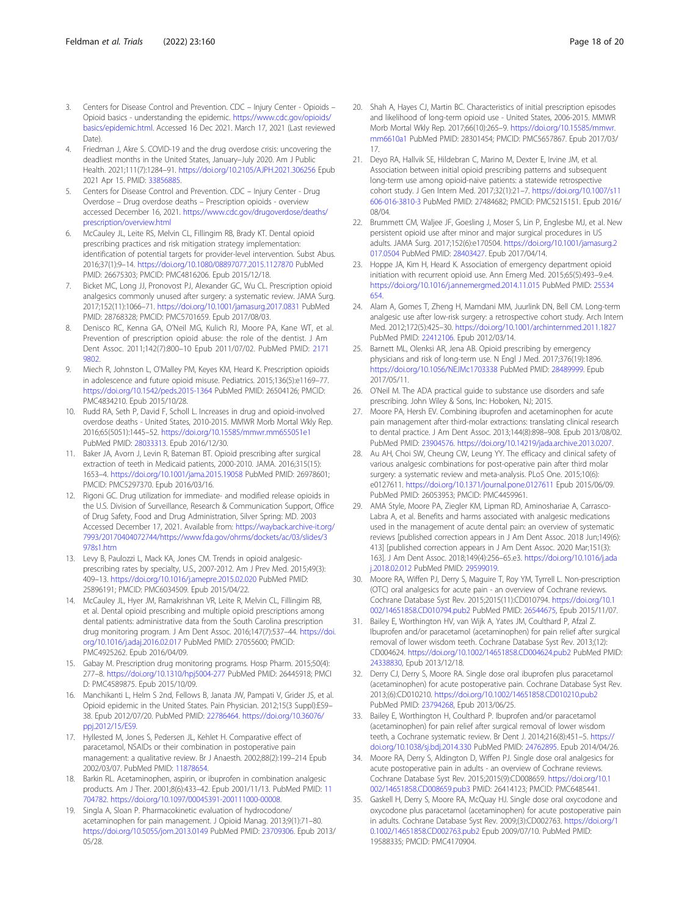- <span id="page-17-0"></span>3. Centers for Disease Control and Prevention. CDC – Injury Center - Opioids – Opioid basics - understanding the epidemic. [https://www.cdc.gov/opioids/](https://www.cdc.gov/opioids/basics/epidemic.html) [basics/epidemic.html.](https://www.cdc.gov/opioids/basics/epidemic.html) Accessed 16 Dec 2021. March 17, 2021 (Last reviewed Date).
- 4. Friedman J, Akre S. COVID-19 and the drug overdose crisis: uncovering the deadliest months in the United States, January–July 2020. Am J Public Health. 2021;111(7):1284–91. <https://doi.org/10.2105/AJPH.2021.306256> Epub 2021 Apr 15. PMID: [33856885.](https://www.ncbi.nlm.nih.gov/pubmed/33856885)
- 5. Centers for Disease Control and Prevention. CDC Injury Center Drug Overdose – Drug overdose deaths – Prescription opioids - overview accessed December 16, 2021. [https://www.cdc.gov/drugoverdose/deaths/](https://www.cdc.gov/drugoverdose/deaths/prescription/overview.html) [prescription/overview.html](https://www.cdc.gov/drugoverdose/deaths/prescription/overview.html)
- 6. McCauley JL, Leite RS, Melvin CL, Fillingim RB, Brady KT. Dental opioid prescribing practices and risk mitigation strategy implementation: identification of potential targets for provider-level intervention. Subst Abus. 2016;37(1):9–14. <https://doi.org/10.1080/08897077.2015.1127870> PubMed PMID: 26675303; PMCID: PMC4816206. Epub 2015/12/18.
- 7. Bicket MC, Long JJ, Pronovost PJ, Alexander GC, Wu CL. Prescription opioid analgesics commonly unused after surgery: a systematic review. JAMA Surg. 2017;152(11):1066–71. <https://doi.org/10.1001/jamasurg.2017.0831> PubMed PMID: 28768328; PMCID: PMC5701659. Epub 2017/08/03.
- Denisco RC, Kenna GA, O'Neil MG, Kulich RJ, Moore PA, Kane WT, et al. Prevention of prescription opioid abuse: the role of the dentist. J Am Dent Assoc. 2011;142(7):800–10 Epub 2011/07/02. PubMed PMID: [2171](https://www.ncbi.nlm.nih.gov/pubmed/21719802) [9802.](https://www.ncbi.nlm.nih.gov/pubmed/21719802)
- 9. Miech R, Johnston L, O'Malley PM, Keyes KM, Heard K. Prescription opioids in adolescence and future opioid misuse. Pediatrics. 2015;136(5):e1169–77. <https://doi.org/10.1542/peds.2015-1364> PubMed PMID: 26504126; PMCID: PMC4834210. Epub 2015/10/28.
- 10. Rudd RA, Seth P, David F, Scholl L. Increases in drug and opioid-involved overdose deaths - United States, 2010-2015. MMWR Morb Mortal Wkly Rep. 2016;65(5051):1445–52. <https://doi.org/10.15585/mmwr.mm655051e1> PubMed PMID: [28033313](https://www.ncbi.nlm.nih.gov/pubmed/28033313). Epub 2016/12/30.
- 11. Baker JA, Avorn J, Levin R, Bateman BT. Opioid prescribing after surgical extraction of teeth in Medicaid patients, 2000-2010. JAMA. 2016;315(15): 1653–4. <https://doi.org/10.1001/jama.2015.19058> PubMed PMID: 26978601; PMCID: PMC5297370. Epub 2016/03/16.
- 12. Rigoni GC. Drug utilization for immediate- and modified release opioids in the U.S. Division of Surveillance, Research & Communication Support, Office of Drug Safety, Food and Drug Administration, Silver Spring: MD. 2003 Accessed December 17, 2021. Available from: [https://wayback.archive-it.org/](https://wayback.archive-it.org/7993/20170404072744/https://www.fda.gov/ohrms/dockets/ac/03/slides/3978s1.htm) [7993/20170404072744/https://www.fda.gov/ohrms/dockets/ac/03/slides/3](https://wayback.archive-it.org/7993/20170404072744/https://www.fda.gov/ohrms/dockets/ac/03/slides/3978s1.htm) [978s1.htm](https://wayback.archive-it.org/7993/20170404072744/https://www.fda.gov/ohrms/dockets/ac/03/slides/3978s1.htm)
- 13. Levy B, Paulozzi L, Mack KA, Jones CM. Trends in opioid analgesicprescribing rates by specialty, U.S., 2007-2012. Am J Prev Med. 2015;49(3): 409–13. <https://doi.org/10.1016/j.amepre.2015.02.020> PubMed PMID: 25896191; PMCID: PMC6034509. Epub 2015/04/22.
- 14. McCauley JL, Hyer JM, Ramakrishnan VR, Leite R, Melvin CL, Fillingim RB, et al. Dental opioid prescribing and multiple opioid prescriptions among dental patients: administrative data from the South Carolina prescription drug monitoring program. J Am Dent Assoc. 2016;147(7):537–44. [https://doi.](https://doi.org/10.1016/j.adaj.2016.02.017) [org/10.1016/j.adaj.2016.02.017](https://doi.org/10.1016/j.adaj.2016.02.017) PubMed PMID: 27055600; PMCID: PMC4925262. Epub 2016/04/09.
- 15. Gabay M. Prescription drug monitoring programs. Hosp Pharm. 2015;50(4): 277–8. <https://doi.org/10.1310/hpj5004-277> PubMed PMID: 26445918; PMCI D: PMC4589875. Epub 2015/10/09.
- 16. Manchikanti L, Helm S 2nd, Fellows B, Janata JW, Pampati V, Grider JS, et al. Opioid epidemic in the United States. Pain Physician. 2012;15(3 Suppl):ES9– 38. Epub 2012/07/20. PubMed PMID: [22786464.](https://www.ncbi.nlm.nih.gov/pubmed/22786464) [https://doi.org/10.36076/](https://doi.org/10.36076/ppj.2012/15/ES9) [ppj.2012/15/ES9](https://doi.org/10.36076/ppj.2012/15/ES9).
- 17. Hyllested M, Jones S, Pedersen JL, Kehlet H. Comparative effect of paracetamol, NSAIDs or their combination in postoperative pain management: a qualitative review. Br J Anaesth. 2002;88(2):199–214 Epub 2002/03/07. PubMed PMID: [11878654.](https://www.ncbi.nlm.nih.gov/pubmed/11878654)
- 18. Barkin RL. Acetaminophen, aspirin, or ibuprofen in combination analgesic products. Am J Ther. 2001;8(6):433–42. Epub 2001/11/13. PubMed PMID: [11](https://www.ncbi.nlm.nih.gov/pubmed/11704782) [704782](https://www.ncbi.nlm.nih.gov/pubmed/11704782). [https://doi.org/10.1097/00045391-200111000-00008.](https://doi.org/10.1097/00045391-200111000-00008)
- 19. Singla A, Sloan P. Pharmacokinetic evaluation of hydrocodone/ acetaminophen for pain management. J Opioid Manag. 2013;9(1):71–80. <https://doi.org/10.5055/jom.2013.0149> PubMed PMID: [23709306.](https://www.ncbi.nlm.nih.gov/pubmed/23709306) Epub 2013/ 05/28.
- 20. Shah A, Hayes CJ, Martin BC. Characteristics of initial prescription episodes and likelihood of long-term opioid use - United States, 2006-2015. MMWR Morb Mortal Wkly Rep. 2017;66(10):265–9. [https://doi.org/10.15585/mmwr.](https://doi.org/10.15585/mmwr.mm6610a1) [mm6610a1](https://doi.org/10.15585/mmwr.mm6610a1) PubMed PMID: 28301454; PMCID: PMC5657867. Epub 2017/03/ 17.
- 21. Deyo RA, Hallvik SE, Hildebran C, Marino M, Dexter E, Irvine JM, et al. Association between initial opioid prescribing patterns and subsequent long-term use among opioid-naive patients: a statewide retrospective cohort study. J Gen Intern Med. 2017;32(1):21–7. [https://doi.org/10.1007/s11](https://doi.org/10.1007/s11606-016-3810-3) [606-016-3810-3](https://doi.org/10.1007/s11606-016-3810-3) PubMed PMID: 27484682; PMCID: PMC5215151. Epub 2016/ 08/04.
- 22. Brummett CM, Waljee JF, Goesling J, Moser S, Lin P, Englesbe MJ, et al. New persistent opioid use after minor and major surgical procedures in US adults. JAMA Surg. 2017;152(6):e170504. [https://doi.org/10.1001/jamasurg.2](https://doi.org/10.1001/jamasurg.2017.0504) [017.0504](https://doi.org/10.1001/jamasurg.2017.0504) PubMed PMID: [28403427.](https://www.ncbi.nlm.nih.gov/pubmed/28403427) Epub 2017/04/14.
- 23. Hoppe JA, Kim H, Heard K. Association of emergency department opioid initiation with recurrent opioid use. Ann Emerg Med. 2015;65(5):493–9.e4. <https://doi.org/10.1016/j.annemergmed.2014.11.015> PubMed PMID: [25534](https://www.ncbi.nlm.nih.gov/pubmed/25534654) [654.](https://www.ncbi.nlm.nih.gov/pubmed/25534654)
- 24. Alam A, Gomes T, Zheng H, Mamdani MM, Juurlink DN, Bell CM. Long-term analgesic use after low-risk surgery: a retrospective cohort study. Arch Intern Med. 2012;172(5):425–30. <https://doi.org/10.1001/archinternmed.2011.1827> PubMed PMID: [22412106.](https://www.ncbi.nlm.nih.gov/pubmed/22412106) Epub 2012/03/14.
- 25. Barnett ML, Olenksi AR, Jena AB. Opioid prescribing by emergency physicians and risk of long-term use. N Engl J Med. 2017;376(19):1896. <https://doi.org/10.1056/NEJMc1703338> PubMed PMID: [28489999.](https://www.ncbi.nlm.nih.gov/pubmed/28489999) Epub 2017/05/11.
- 26. O'Neil M. The ADA practical guide to substance use disorders and safe prescribing. John Wiley & Sons, Inc: Hoboken, NJ; 2015.
- 27. Moore PA, Hersh EV. Combining ibuprofen and acetaminophen for acute pain management after third-molar extractions: translating clinical research to dental practice. J Am Dent Assoc. 2013;144(8):898–908. Epub 2013/08/02. PubMed PMID: [23904576.](https://www.ncbi.nlm.nih.gov/pubmed/23904576) <https://doi.org/10.14219/jada.archive.2013.0207>.
- 28. Au AH, Choi SW, Cheung CW, Leung YY. The efficacy and clinical safety of various analgesic combinations for post-operative pain after third molar surgery: a systematic review and meta-analysis. PLoS One. 2015;10(6): e0127611. <https://doi.org/10.1371/journal.pone.0127611> Epub 2015/06/09. PubMed PMID: 26053953; PMCID: PMC4459961.
- 29. AMA Style, Moore PA, Ziegler KM, Lipman RD, Aminoshariae A, Carrasco-Labra A, et al. Benefits and harms associated with analgesic medications used in the management of acute dental pain: an overview of systematic reviews [published correction appears in J Am Dent Assoc. 2018 Jun;149(6): 413] [published correction appears in J Am Dent Assoc. 2020 Mar;151(3): 163]. J Am Dent Assoc. 2018;149(4):256–65.e3. [https://doi.org/10.1016/j.ada](https://doi.org/10.1016/j.adaj.2018.02.012) [j.2018.02.012](https://doi.org/10.1016/j.adaj.2018.02.012) PubMed PMID: [29599019](https://www.ncbi.nlm.nih.gov/pubmed/29599019).
- 30. Moore RA, Wiffen PJ, Derry S, Maguire T, Roy YM, Tyrrell L. Non-prescription (OTC) oral analgesics for acute pain - an overview of Cochrane reviews. Cochrane Database Syst Rev. 2015;2015(11):CD010794. [https://doi.org/10.1](https://doi.org/10.1002/14651858.CD010794.pub2) [002/14651858.CD010794.pub2](https://doi.org/10.1002/14651858.CD010794.pub2) PubMed PMID: [26544675,](https://www.ncbi.nlm.nih.gov/pubmed/26544675) Epub 2015/11/07.
- 31. Bailey E, Worthington HV, van Wijk A, Yates JM, Coulthard P, Afzal Z. Ibuprofen and/or paracetamol (acetaminophen) for pain relief after surgical removal of lower wisdom teeth. Cochrane Database Syst Rev. 2013;(12): CD004624. <https://doi.org/10.1002/14651858.CD004624.pub2> PubMed PMID: [24338830](https://www.ncbi.nlm.nih.gov/pubmed/24338830), Epub 2013/12/18.
- 32. Derry CJ, Derry S, Moore RA. Single dose oral ibuprofen plus paracetamol (acetaminophen) for acute postoperative pain. Cochrane Database Syst Rev. 2013;(6):CD010210. <https://doi.org/10.1002/14651858.CD010210.pub2> PubMed PMID: [23794268,](https://www.ncbi.nlm.nih.gov/pubmed/23794268) Epub 2013/06/25.
- 33. Bailey E, Worthington H, Coulthard P. Ibuprofen and/or paracetamol (acetaminophen) for pain relief after surgical removal of lower wisdom teeth, a Cochrane systematic review. Br Dent J. 2014;216(8):451–5. [https://](https://doi.org/10.1038/sj.bdj.2014.330) [doi.org/10.1038/sj.bdj.2014.330](https://doi.org/10.1038/sj.bdj.2014.330) PubMed PMID: [24762895.](https://www.ncbi.nlm.nih.gov/pubmed/24762895) Epub 2014/04/26.
- 34. Moore RA, Derry S, Aldington D, Wiffen PJ. Single dose oral analgesics for acute postoperative pain in adults - an overview of Cochrane reviews. Cochrane Database Syst Rev. 2015;2015(9):CD008659. [https://doi.org/10.1](https://doi.org/10.1002/14651858.CD008659.pub3) [002/14651858.CD008659.pub3](https://doi.org/10.1002/14651858.CD008659.pub3) PMID: 26414123; PMCID: PMC6485441.
- 35. Gaskell H, Derry S, Moore RA, McQuay HJ. Single dose oral oxycodone and oxycodone plus paracetamol (acetaminophen) for acute postoperative pain in adults. Cochrane Database Syst Rev. 2009;(3):CD002763. [https://doi.org/1](https://doi.org/10.1002/14651858.CD002763.pub2) [0.1002/14651858.CD002763.pub2](https://doi.org/10.1002/14651858.CD002763.pub2) Epub 2009/07/10. PubMed PMID: 19588335; PMCID: PMC4170904.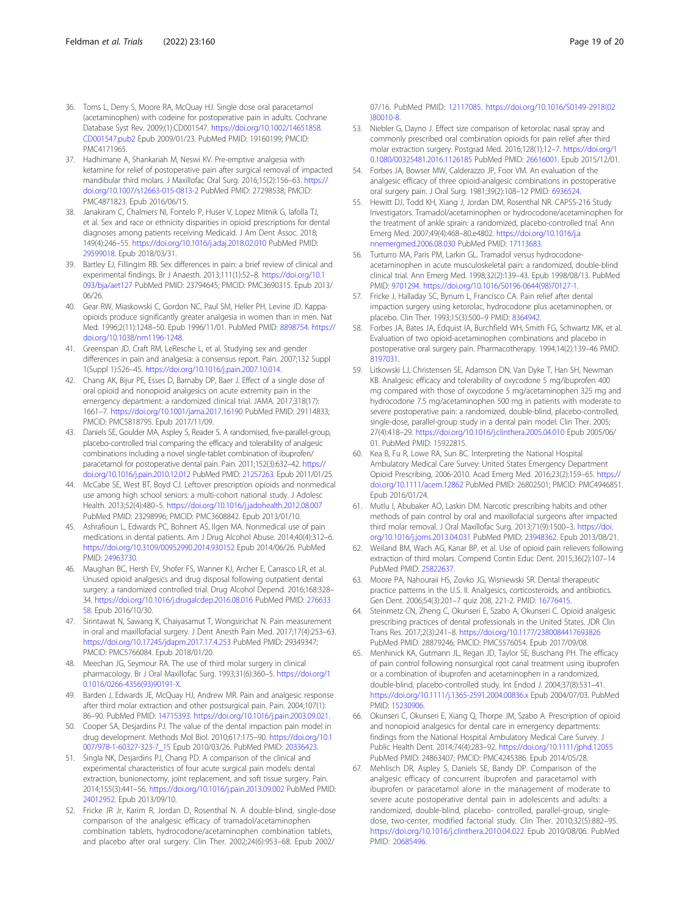- <span id="page-18-0"></span>36. Toms L, Derry S, Moore RA, McQuay HJ. Single dose oral paracetamol (acetaminophen) with codeine for postoperative pain in adults. Cochrane Database Syst Rev. 2009;(1):CD001547. [https://doi.org/10.1002/14651858.](https://doi.org/10.1002/14651858.CD001547.pub2) [CD001547.pub2](https://doi.org/10.1002/14651858.CD001547.pub2) Epub 2009/01/23. PubMed PMID: 19160199; PMCID: PMC4171965.
- 37. Hadhimane A, Shankariah M, Neswi KV. Pre-emptive analgesia with ketamine for relief of postoperative pain after surgical removal of impacted mandibular third molars. J Maxillofac Oral Surg. 2016;15(2):156–63. [https://](https://doi.org/10.1007/s12663-015-0813-2) [doi.org/10.1007/s12663-015-0813-2](https://doi.org/10.1007/s12663-015-0813-2) PubMed PMID: 27298538; PMCID: PMC4871823. Epub 2016/06/15.
- 38. Janakiram C, Chalmers NI, Fontelo P, Huser V, Lopez Mitnik G, Iafolla TJ, et al. Sex and race or ethnicity disparities in opioid prescriptions for dental diagnoses among patients receiving Medicaid. J Am Dent Assoc. 2018; 149(4):246–55. <https://doi.org/10.1016/j.adaj.2018.02.010> PubMed PMID: [29599018.](https://www.ncbi.nlm.nih.gov/pubmed/29599018) Epub 2018/03/31.
- 39. Bartley EJ, Fillingim RB. Sex differences in pain: a brief review of clinical and experimental findings. Br J Anaesth. 2013;111(1):52–8. [https://doi.org/10.1](https://doi.org/10.1093/bja/aet127) [093/bja/aet127](https://doi.org/10.1093/bja/aet127) PubMed PMID: 23794645; PMCID: PMC3690315. Epub 2013/ 06/26.
- 40. Gear RW, Miaskowski C, Gordon NC, Paul SM, Heller PH, Levine JD. Kappaopioids produce significantly greater analgesia in women than in men. Nat Med. 1996;2(11):1248–50. Epub 1996/11/01. PubMed PMID: [8898754.](https://www.ncbi.nlm.nih.gov/pubmed/8898754) [https://](https://doi.org/10.1038/nm1196-1248) [doi.org/10.1038/nm1196-1248](https://doi.org/10.1038/nm1196-1248).
- 41. Greenspan JD, Craft RM, LeResche L, et al. Studying sex and gender differences in pain and analgesia: a consensus report. Pain. 2007;132 Suppl 1(Suppl 1):S26–45. <https://doi.org/10.1016/j.pain.2007.10.014>.
- 42. Chang AK, Bijur PE, Esses D, Barnaby DP, Baer J. Effect of a single dose of oral opioid and nonopioid analgesics on acute extremity pain in the emergency department: a randomized clinical trial. JAMA. 2017;318(17): 1661–7. <https://doi.org/10.1001/jama.2017.16190> PubMed PMID: 29114833; PMCID: PMC5818795. Epub 2017/11/09.
- 43. Daniels SE, Goulder MA, Aspley S, Reader S. A randomised, five-parallel-group, placebo-controlled trial comparing the efficacy and tolerability of analgesic combinations including a novel single-tablet combination of ibuprofen/ paracetamol for postoperative dental pain. Pain. 2011;152(3):632–42. [https://](https://doi.org/10.1016/j.pain.2010.12.012) [doi.org/10.1016/j.pain.2010.12.012](https://doi.org/10.1016/j.pain.2010.12.012) PubMed PMID: [21257263](https://www.ncbi.nlm.nih.gov/pubmed/21257263). Epub 2011/01/25.
- 44. McCabe SE, West BT, Boyd CJ. Leftover prescription opioids and nonmedical use among high school seniors: a multi-cohort national study. J Adolesc Health. 2013;52(4):480–5. <https://doi.org/10.1016/j.jadohealth.2012.08.007> PubMed PMID: 23298996; PMCID: PMC3608842. Epub 2013/01/10.
- 45. Ashrafioun L, Edwards PC, Bohnert AS, Ilgen MA. Nonmedical use of pain medications in dental patients. Am J Drug Alcohol Abuse. 2014;40(4):312–6. <https://doi.org/10.3109/00952990.2014.930152> Epub 2014/06/26. PubMed PMID: [24963730](https://www.ncbi.nlm.nih.gov/pubmed/24963730).
- 46. Maughan BC, Hersh EV, Shofer FS, Wanner KJ, Archer E, Carrasco LR, et al. Unused opioid analgesics and drug disposal following outpatient dental surgery: a randomized controlled trial. Drug Alcohol Depend. 2016;168:328– 34. <https://doi.org/10.1016/j.drugalcdep.2016.08.016> PubMed PMID: [276633](https://www.ncbi.nlm.nih.gov/pubmed/27663358) [58.](https://www.ncbi.nlm.nih.gov/pubmed/27663358) Epub 2016/10/30.
- 47. Sirintawat N, Sawang K, Chaiyasamut T, Wongsirichat N. Pain measurement in oral and maxillofacial surgery. J Dent Anesth Pain Med. 2017;17(4):253–63. <https://doi.org/10.17245/jdapm.2017.17.4.253> PubMed PMID: 29349347; PMCID: PMC5766084. Epub 2018/01/20.
- 48. Meechan JG, Seymour RA. The use of third molar surgery in clinical pharmacology. Br J Oral Maxillofac Surg. 1993;31(6):360–5. [https://doi.org/1](https://doi.org/10.1016/0266-4356(93)90191-X) [0.1016/0266-4356\(93\)90191-X](https://doi.org/10.1016/0266-4356(93)90191-X).
- 49. Barden J, Edwards JE, McQuay HJ, Andrew MR. Pain and analgesic response after third molar extraction and other postsurgical pain. Pain. 2004;107(1): 86–90. PubMed PMID: [14715393](https://www.ncbi.nlm.nih.gov/pubmed/14715393). [https://doi.org/10.1016/j.pain.2003.09.021.](https://doi.org/10.1016/j.pain.2003.09.021)
- 50. Cooper SA, Desjardins PJ. The value of the dental impaction pain model in drug development. Methods Mol Biol. 2010;617:175–90. [https://doi.org/10.1](https://doi.org/10.1007/978-1-60327-323-7_15) [007/978-1-60327-323-7\\_15](https://doi.org/10.1007/978-1-60327-323-7_15) Epub 2010/03/26. PubMed PMID: [20336423.](https://www.ncbi.nlm.nih.gov/pubmed/20336423)
- 51. Singla NK, Desjardins PJ, Chang PD. A comparison of the clinical and experimental characteristics of four acute surgical pain models: dental extraction, bunionectomy, joint replacement, and soft tissue surgery. Pain. 2014;155(3):441–56. <https://doi.org/10.1016/j.pain.2013.09.002> PubMed PMID: [24012952.](https://www.ncbi.nlm.nih.gov/pubmed/24012952) Epub 2013/09/10.
- 52. Fricke JR Jr, Karim R, Jordan D, Rosenthal N. A double-blind, single-dose comparison of the analgesic efficacy of tramadol/acetaminophen combination tablets, hydrocodone/acetaminophen combination tablets, and placebo after oral surgery. Clin Ther. 2002;24(6):953–68. Epub 2002/

07/16. PubMed PMID: [12117085](https://www.ncbi.nlm.nih.gov/pubmed/12117085). [https://doi.org/10.1016/S0149-2918\(02](https://doi.org/10.1016/S0149-2918(02)80010-8) [\)80010-8.](https://doi.org/10.1016/S0149-2918(02)80010-8)

- 53. Niebler G, Dayno J. Effect size comparison of ketorolac nasal spray and commonly prescribed oral combination opioids for pain relief after third molar extraction surgery. Postgrad Med. 2016;128(1):12–7. [https://doi.org/1](https://doi.org/10.1080/00325481.2016.1126185) [0.1080/00325481.2016.1126185](https://doi.org/10.1080/00325481.2016.1126185) PubMed PMID: [26616001.](https://www.ncbi.nlm.nih.gov/pubmed/26616001) Epub 2015/12/01.
- 54. Forbes JA, Bowser MW, Calderazzo JP, Foor VM. An evaluation of the analgesic efficacy of three opioid-analgesic combinations in postoperative oral surgery pain. J Oral Surg. 1981;39(2):108–12 PMID: [6936524.](https://www.ncbi.nlm.nih.gov/pubmed/6936524)
- 55. Hewitt DJ, Todd KH, Xiang J, Jordan DM, Rosenthal NR. CAPSS-216 Study Investigators. Tramadol/acetaminophen or hydrocodone/acetaminophen for the treatment of ankle sprain: a randomized, placebo-controlled trial. Ann Emerg Med. 2007;49(4):468–80.e4802. [https://doi.org/10.1016/j.a](https://doi.org/10.1016/j.annemergmed.2006.08.030) [nnemergmed.2006.08.030](https://doi.org/10.1016/j.annemergmed.2006.08.030) PubMed PMID: [17113683](https://www.ncbi.nlm.nih.gov/pubmed/17113683).
- 56. Turturro MA, Paris PM, Larkin GL. Tramadol versus hydrocodoneacetaminophen in acute musculoskeletal pain: a randomized, double-blind clinical trial. Ann Emerg Med. 1998;32(2):139–43. Epub 1998/08/13. PubMed PMID: [9701294](https://www.ncbi.nlm.nih.gov/pubmed/9701294). [https://doi.org/10.1016/S0196-0644\(98\)70127-1](https://doi.org/10.1016/S0196-0644(98)70127-1).
- 57. Fricke J, Halladay SC, Bynum L, Francisco CA. Pain relief after dental impaction surgery using ketorolac, hydrocodone plus acetaminophen, or placebo. Clin Ther. 1993;15(3):500–9 PMID: [8364942](https://www.ncbi.nlm.nih.gov/pubmed/8364942).
- 58. Forbes JA, Bates JA, Edquist IA, Burchfield WH, Smith FG, Schwartz MK, et al. Evaluation of two opioid-acetaminophen combinations and placebo in postoperative oral surgery pain. Pharmacotherapy. 1994;14(2):139–46 PMID: [8197031.](https://www.ncbi.nlm.nih.gov/pubmed/8197031)
- 59. Litkowski LJ, Christensen SE, Adamson DN, Van Dyke T, Han SH, Newman KB. Analgesic efficacy and tolerability of oxycodone 5 mg/ibuprofen 400 mg compared with those of oxycodone 5 mg/acetaminophen 325 mg and hydrocodone 7.5 mg/acetaminophen 500 mg in patients with moderate to severe postoperative pain: a randomized, double-blind, placebo-controlled, single-dose, parallel-group study in a dental pain model. Clin Ther. 2005; 27(4):418–29. <https://doi.org/10.1016/j.clinthera.2005.04.010> Epub 2005/06/ 01. PubMed PMID: 15922815.
- 60. Kea B, Fu R, Lowe RA, Sun BC. Interpreting the National Hospital Ambulatory Medical Care Survey: United States Emergency Department Opioid Prescribing, 2006-2010. Acad Emerg Med. 2016;23(2):159–65. [https://](https://doi.org/10.1111/acem.12862) [doi.org/10.1111/acem.12862](https://doi.org/10.1111/acem.12862) PubMed PMID: 26802501; PMCID: PMC4946851. Epub 2016/01/24.
- 61. Mutlu I, Abubaker AO, Laskin DM. Narcotic prescribing habits and other methods of pain control by oral and maxillofacial surgeons after impacted third molar removal. J Oral Maxillofac Surg. 2013;71(9):1500–3. [https://doi.](https://doi.org/10.1016/j.joms.2013.04.031) [org/10.1016/j.joms.2013.04.031](https://doi.org/10.1016/j.joms.2013.04.031) PubMed PMID: [23948362.](https://www.ncbi.nlm.nih.gov/pubmed/23948362) Epub 2013/08/21.
- 62. Weiland BM, Wach AG, Kanar BP, et al. Use of opioid pain relievers following extraction of third molars. Compend Contin Educ Dent. 2015;36(2):107–14 PubMed PMID: [25822637.](https://www.ncbi.nlm.nih.gov/pubmed/25822637)
- 63. Moore PA, Nahouraii HS, Zovko JG, Wisniewski SR. Dental therapeutic practice patterns in the U.S. II. Analgesics, corticosteroids, and antibiotics. Gen Dent. 2006;54(3):201–7 quiz 208, 221-2. PMID: [16776415](https://www.ncbi.nlm.nih.gov/pubmed/16776415).
- 64. Steinmetz CN, Zheng C, Okunseri E, Szabo A, Okunseri C. Opioid analgesic prescribing practices of dental professionals in the United States. JDR Clin Trans Res. 2017;2(3):241–8. <https://doi.org/10.1177/2380084417693826> PubMed PMID: 28879246; PMCID: PMC5576054. Epub 2017/09/08.
- 65. Menhinick KA, Gutmann JL, Regan JD, Taylor SE, Buschang PH. The efficacy of pain control following nonsurgical root canal treatment using ibuprofen or a combination of ibuprofen and acetaminophen in a randomized, double-blind, placebo-controlled study. Int Endod J. 2004;37(8):531–41. <https://doi.org/10.1111/j.1365-2591.2004.00836.x> Epub 2004/07/03. PubMed PMID: [15230906](https://www.ncbi.nlm.nih.gov/pubmed/15230906).
- 66. Okunseri C, Okunseri E, Xiang Q, Thorpe JM, Szabo A. Prescription of opioid and nonopioid analgesics for dental care in emergency departments: findings from the National Hospital Ambulatory Medical Care Survey. J Public Health Dent. 2014;74(4):283–92. <https://doi.org/10.1111/jphd.12055> PubMed PMID: 24863407; PMCID: PMC4245386. Epub 2014/05/28.
- 67. Mehlisch DR, Aspley S, Daniels SE, Bandy DP. Comparison of the analgesic efficacy of concurrent ibuprofen and paracetamol with ibuprofen or paracetamol alone in the management of moderate to severe acute postoperative dental pain in adolescents and adults: a randomized, double-blind, placebo- controlled, parallel-group, singledose, two-center, modified factorial study. Clin Ther. 2010;32(5):882–95. <https://doi.org/10.1016/j.clinthera.2010.04.022> Epub 2010/08/06. PubMed PMID: [20685496](https://www.ncbi.nlm.nih.gov/pubmed/20685496).